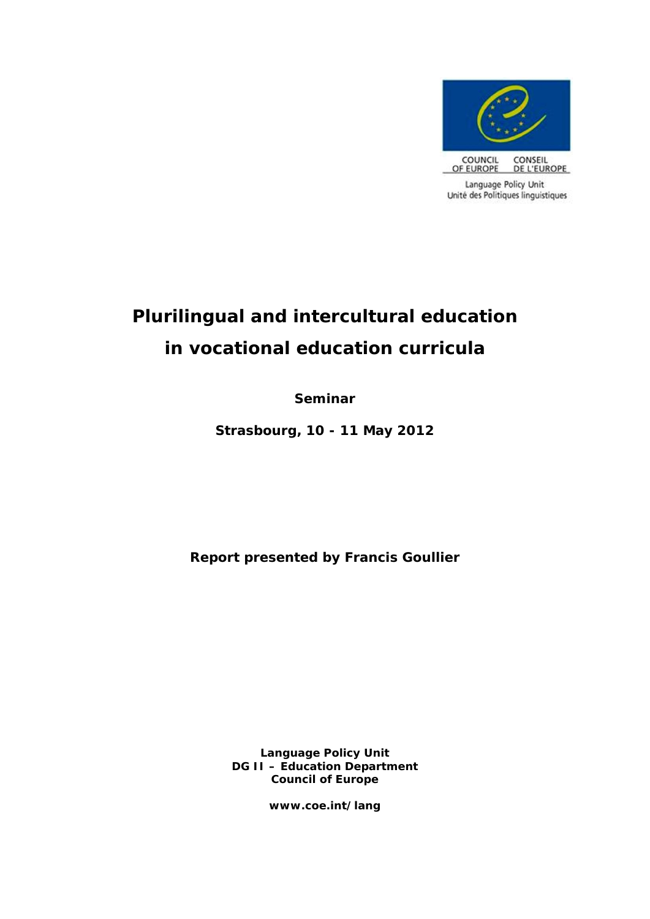

# **Plurilingual and intercultural education in vocational education curricula**

**Seminar**

**Strasbourg, 10 - 11 May 2012**

**Report presented by Francis Goullier**

**Language Policy Unit DG II – Education Department Council of Europe**

**www.coe.int/lang**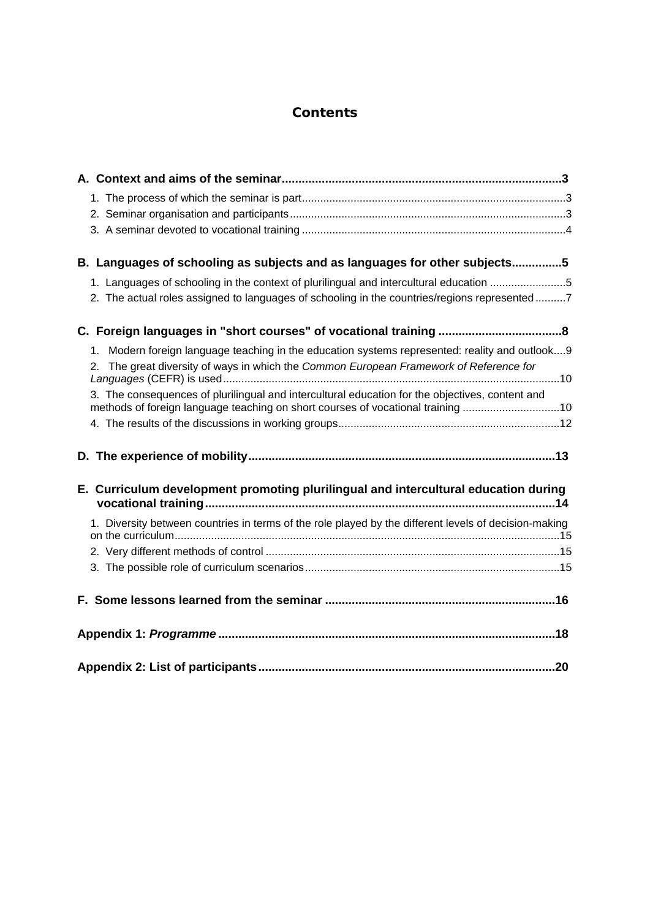# **Contents**

| B. Languages of schooling as subjects and as languages for other subjects5                                                                                                                  |  |
|---------------------------------------------------------------------------------------------------------------------------------------------------------------------------------------------|--|
| 1. Languages of schooling in the context of plurilingual and intercultural education 5                                                                                                      |  |
| 2. The actual roles assigned to languages of schooling in the countries/regions represented7                                                                                                |  |
|                                                                                                                                                                                             |  |
| Modern foreign language teaching in the education systems represented: reality and outlook9<br>1.<br>2. The great diversity of ways in which the Common European Framework of Reference for |  |
| 3. The consequences of plurilingual and intercultural education for the objectives, content and<br>methods of foreign language teaching on short courses of vocational training 10          |  |
|                                                                                                                                                                                             |  |
|                                                                                                                                                                                             |  |
| E. Curriculum development promoting plurilingual and intercultural education during                                                                                                         |  |
| 1. Diversity between countries in terms of the role played by the different levels of decision-making                                                                                       |  |
|                                                                                                                                                                                             |  |
|                                                                                                                                                                                             |  |
|                                                                                                                                                                                             |  |
|                                                                                                                                                                                             |  |
|                                                                                                                                                                                             |  |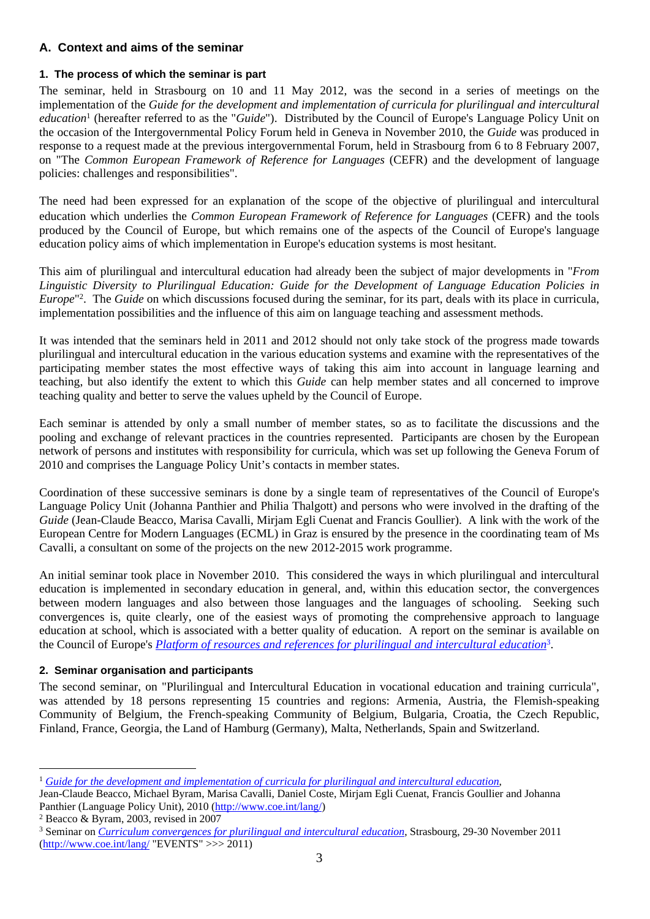# <span id="page-2-0"></span>**A. Context and aims of the seminar**

# <span id="page-2-1"></span>**1. The process of which the seminar is part**

The seminar, held in Strasbourg on 10 and 11 May 2012, was the second in a series of meetings on the implementation of the *Guide for the development and implementation of curricula for plurilingual and intercultural*  education<sup>1</sup> (hereafter referred to as the "*Guide*"). Distributed by the Council of Europe's Language Policy Unit on the occasion of the Intergovernmental Policy Forum held in Geneva in November 2010, the *Guide* was produced in response to a request made at the previous intergovernmental Forum, held in Strasbourg from 6 to 8 February 2007, on "The *Common European Framework of Reference for Languages* (CEFR) and the development of language policies: challenges and responsibilities".

The need had been expressed for an explanation of the scope of the objective of plurilingual and intercultural education which underlies the *Common European Framework of Reference for Languages* (CEFR) and the tools produced by the Council of Europe, but which remains one of the aspects of the Council of Europe's language education policy aims of which implementation in Europe's education systems is most hesitant.

This aim of plurilingual and intercultural education had already been the subject of major developments in "*From Linguistic Diversity to Plurilingual Education: Guide for the Development of Language Education Policies in Europe*" 2 . The *Guide* on which discussions focused during the seminar, for its part, deals with its place in curricula, implementation possibilities and the influence of this aim on language teaching and assessment methods.

It was intended that the seminars held in 2011 and 2012 should not only take stock of the progress made towards plurilingual and intercultural education in the various education systems and examine with the representatives of the participating member states the most effective ways of taking this aim into account in language learning and teaching, but also identify the extent to which this *Guide* can help member states and all concerned to improve teaching quality and better to serve the values upheld by the Council of Europe.

Each seminar is attended by only a small number of member states, so as to facilitate the discussions and the pooling and exchange of relevant practices in the countries represented. Participants are chosen by the European network of persons and institutes with responsibility for curricula, which was set up following the Geneva Forum of 2010 and comprises the Language Policy Unit's contacts in member states.

Coordination of these successive seminars is done by a single team of representatives of the Council of Europe's Language Policy Unit (Johanna Panthier and Philia Thalgott) and persons who were involved in the drafting of the *Guide* (Jean-Claude Beacco, Marisa Cavalli, Mirjam Egli Cuenat and Francis Goullier). A link with the work of the European Centre for Modern Languages (ECML) in Graz is ensured by the presence in the coordinating team of Ms Cavalli, a consultant on some of the projects on the new 2012-2015 work programme.

An initial seminar took place in November 2010. This considered the ways in which plurilingual and intercultural education is implemented in secondary education in general, and, within this education sector, the convergences between modern languages and also between those languages and the languages of schooling. Seeking such convergences is, quite clearly, one of the easiest ways of promoting the comprehensive approach to language education at school, which is associated with a better quality of education. A report on the seminar is available on the Council of Europe's *[Platform of resources and references for plurilingual and intercultural education](http://www.coe.int/t/dg4/linguistic/langeduc/le_platformintro_EN.asp?)*<sup>3</sup> .

# <span id="page-2-2"></span>**2. Seminar organisation and participants**

The second seminar, on "Plurilingual and Intercultural Education in vocational education and training curricula", was attended by 18 persons representing 15 countries and regions: Armenia, Austria, the Flemish-speaking Community of Belgium, the French-speaking Community of Belgium, Bulgaria, Croatia, the Czech Republic, Finland, France, Georgia, the Land of Hamburg (Germany), Malta, Netherlands, Spain and Switzerland.

2 Beacco & Byram, 2003, revised in 2007

<sup>1</sup> *[Guide for the development and implementation of curricula for plurilingual and intercultural education](http://www.coe.int/t/dg4/linguistic/Source/Source2010_ForumGeneva/GuideEPI2010_EN.pdf)*,

Jean-Claude Beacco, Michael Byram, Marisa Cavalli, Daniel Coste, Mirjam Egli Cuenat, Francis Goullier and Johanna Panthier (Language Policy Unit), 2010 [\(http://www.coe.int/lang/\)](http://www.coe.int/lang/)

<sup>3</sup> Seminar on *[Curriculum convergences for plurilingual and intercultural education](http://www.coe.int/t/dg4/linguistic/Conference_EN.asp?)*, Strasbourg, 29-30 November 2011  $(http://www.coe.int/lang/ "EVENTS" >> 2011)$  $(http://www.coe.int/lang/ "EVENTS" >> 2011)$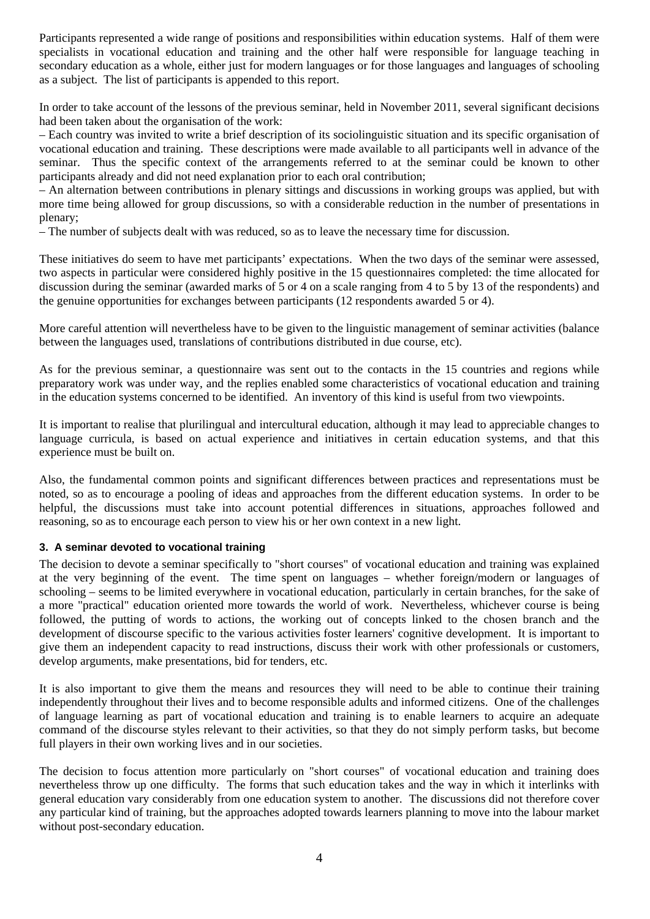Participants represented a wide range of positions and responsibilities within education systems. Half of them were specialists in vocational education and training and the other half were responsible for language teaching in secondary education as a whole, either just for modern languages or for those languages and languages of schooling as a subject. The list of participants is appended to this report.

In order to take account of the lessons of the previous seminar, held in November 2011, several significant decisions had been taken about the organisation of the work:

– Each country was invited to write a brief description of its sociolinguistic situation and its specific organisation of vocational education and training. These descriptions were made available to all participants well in advance of the seminar. Thus the specific context of the arrangements referred to at the seminar could be known to other participants already and did not need explanation prior to each oral contribution;

– An alternation between contributions in plenary sittings and discussions in working groups was applied, but with more time being allowed for group discussions, so with a considerable reduction in the number of presentations in plenary;

– The number of subjects dealt with was reduced, so as to leave the necessary time for discussion.

These initiatives do seem to have met participants' expectations. When the two days of the seminar were assessed, two aspects in particular were considered highly positive in the 15 questionnaires completed: the time allocated for discussion during the seminar (awarded marks of 5 or 4 on a scale ranging from 4 to 5 by 13 of the respondents) and the genuine opportunities for exchanges between participants (12 respondents awarded 5 or 4).

More careful attention will nevertheless have to be given to the linguistic management of seminar activities (balance between the languages used, translations of contributions distributed in due course, etc).

As for the previous seminar, a questionnaire was sent out to the contacts in the 15 countries and regions while preparatory work was under way, and the replies enabled some characteristics of vocational education and training in the education systems concerned to be identified. An inventory of this kind is useful from two viewpoints.

It is important to realise that plurilingual and intercultural education, although it may lead to appreciable changes to language curricula, is based on actual experience and initiatives in certain education systems, and that this experience must be built on.

Also, the fundamental common points and significant differences between practices and representations must be noted, so as to encourage a pooling of ideas and approaches from the different education systems. In order to be helpful, the discussions must take into account potential differences in situations, approaches followed and reasoning, so as to encourage each person to view his or her own context in a new light.

#### <span id="page-3-0"></span>**3. A seminar devoted to vocational training**

The decision to devote a seminar specifically to "short courses" of vocational education and training was explained at the very beginning of the event. The time spent on languages – whether foreign/modern or languages of schooling – seems to be limited everywhere in vocational education, particularly in certain branches, for the sake of a more "practical" education oriented more towards the world of work. Nevertheless, whichever course is being followed, the putting of words to actions, the working out of concepts linked to the chosen branch and the development of discourse specific to the various activities foster learners' cognitive development. It is important to give them an independent capacity to read instructions, discuss their work with other professionals or customers, develop arguments, make presentations, bid for tenders, etc.

It is also important to give them the means and resources they will need to be able to continue their training independently throughout their lives and to become responsible adults and informed citizens. One of the challenges of language learning as part of vocational education and training is to enable learners to acquire an adequate command of the discourse styles relevant to their activities, so that they do not simply perform tasks, but become full players in their own working lives and in our societies.

The decision to focus attention more particularly on "short courses" of vocational education and training does nevertheless throw up one difficulty. The forms that such education takes and the way in which it interlinks with general education vary considerably from one education system to another. The discussions did not therefore cover any particular kind of training, but the approaches adopted towards learners planning to move into the labour market without post-secondary education.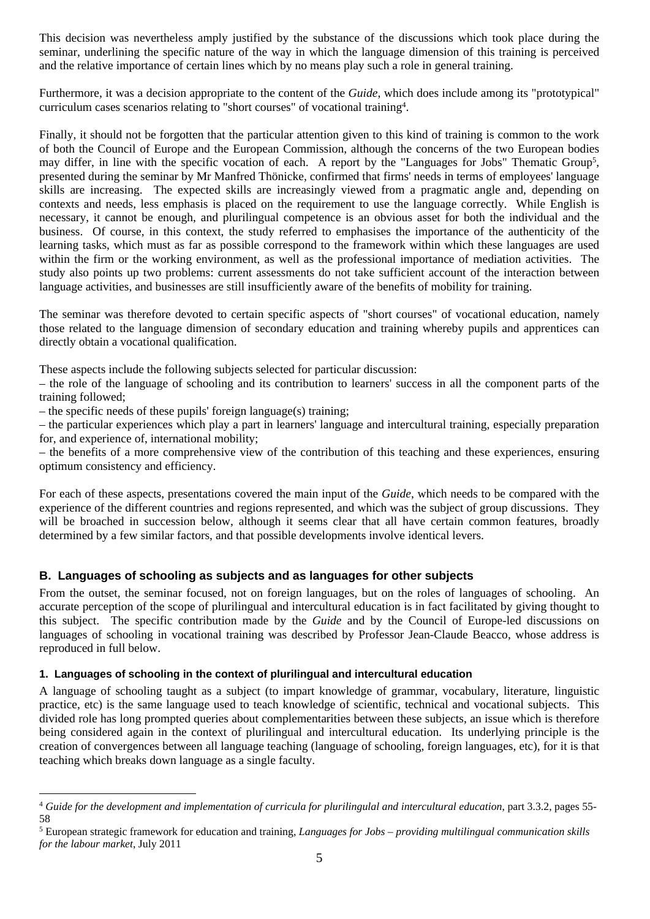This decision was nevertheless amply justified by the substance of the discussions which took place during the seminar, underlining the specific nature of the way in which the language dimension of this training is perceived and the relative importance of certain lines which by no means play such a role in general training.

Furthermore, it was a decision appropriate to the content of the *Guide*, which does include among its "prototypical" curriculum cases scenarios relating to "short courses" of vocational training<sup>4</sup> .

Finally, it should not be forgotten that the particular attention given to this kind of training is common to the work of both the Council of Europe and the European Commission, although the concerns of the two European bodies may differ, in line with the specific vocation of each. A report by the "Languages for Jobs" Thematic Group<sup>5</sup>, presented during the seminar by Mr Manfred Thönicke, confirmed that firms' needs in terms of employees' language skills are increasing. The expected skills are increasingly viewed from a pragmatic angle and, depending on contexts and needs, less emphasis is placed on the requirement to use the language correctly. While English is necessary, it cannot be enough, and plurilingual competence is an obvious asset for both the individual and the business. Of course, in this context, the study referred to emphasises the importance of the authenticity of the learning tasks, which must as far as possible correspond to the framework within which these languages are used within the firm or the working environment, as well as the professional importance of mediation activities. The study also points up two problems: current assessments do not take sufficient account of the interaction between language activities, and businesses are still insufficiently aware of the benefits of mobility for training.

The seminar was therefore devoted to certain specific aspects of "short courses" of vocational education, namely those related to the language dimension of secondary education and training whereby pupils and apprentices can directly obtain a vocational qualification.

These aspects include the following subjects selected for particular discussion:

– the role of the language of schooling and its contribution to learners' success in all the component parts of the training followed;

– the specific needs of these pupils' foreign language(s) training;

– the particular experiences which play a part in learners' language and intercultural training, especially preparation for, and experience of, international mobility;

– the benefits of a more comprehensive view of the contribution of this teaching and these experiences, ensuring optimum consistency and efficiency.

For each of these aspects, presentations covered the main input of the *Guide*, which needs to be compared with the experience of the different countries and regions represented, and which was the subject of group discussions. They will be broached in succession below, although it seems clear that all have certain common features, broadly determined by a few similar factors, and that possible developments involve identical levers.

# <span id="page-4-0"></span>**B. Languages of schooling as subjects and as languages for other subjects**

From the outset, the seminar focused, not on foreign languages, but on the roles of languages of schooling. An accurate perception of the scope of plurilingual and intercultural education is in fact facilitated by giving thought to this subject. The specific contribution made by the *Guide* and by the Council of Europe-led discussions on languages of schooling in vocational training was described by Professor Jean-Claude Beacco, whose address is reproduced in full below.

#### <span id="page-4-1"></span>**1. Languages of schooling in the context of plurilingual and intercultural education**

A language of schooling taught as a subject (to impart knowledge of grammar, vocabulary, literature, linguistic practice, etc) is the same language used to teach knowledge of scientific, technical and vocational subjects. This divided role has long prompted queries about complementarities between these subjects, an issue which is therefore being considered again in the context of plurilingual and intercultural education. Its underlying principle is the creation of convergences between all language teaching (language of schooling, foreign languages, etc), for it is that teaching which breaks down language as a single faculty.

<sup>4</sup> *Guide for the development and implementation of curricula for plurilingulal and intercultural education*, part 3.3.2, pages 55- 58

<sup>5</sup> European strategic framework for education and training, *Languages for Jobs – providing multilingual communication skills for the labour market*, July 2011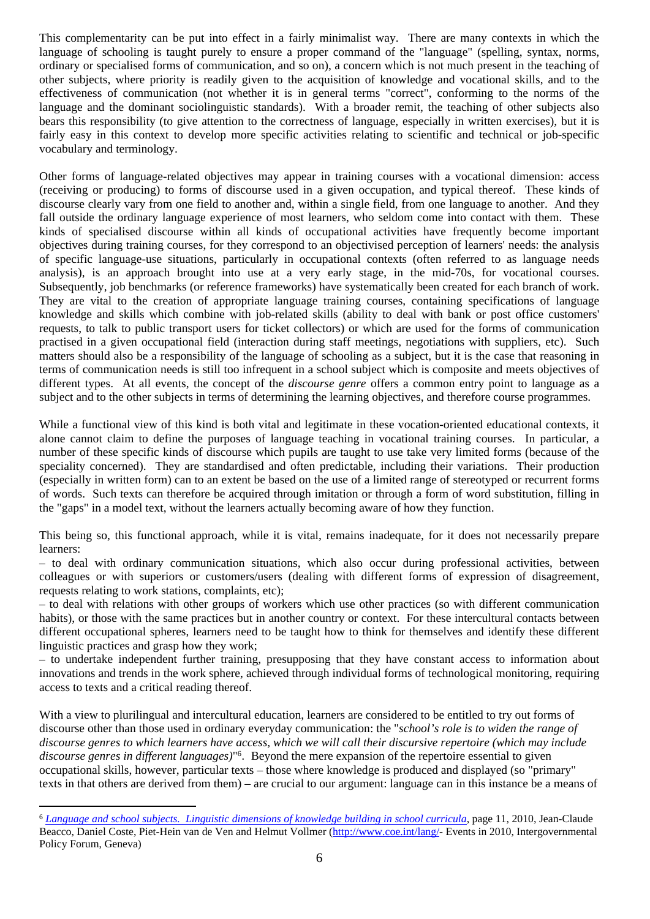This complementarity can be put into effect in a fairly minimalist way. There are many contexts in which the language of schooling is taught purely to ensure a proper command of the "language" (spelling, syntax, norms, ordinary or specialised forms of communication, and so on), a concern which is not much present in the teaching of other subjects, where priority is readily given to the acquisition of knowledge and vocational skills, and to the effectiveness of communication (not whether it is in general terms "correct", conforming to the norms of the language and the dominant sociolinguistic standards). With a broader remit, the teaching of other subjects also bears this responsibility (to give attention to the correctness of language, especially in written exercises), but it is fairly easy in this context to develop more specific activities relating to scientific and technical or job-specific vocabulary and terminology.

Other forms of language-related objectives may appear in training courses with a vocational dimension: access (receiving or producing) to forms of discourse used in a given occupation, and typical thereof. These kinds of discourse clearly vary from one field to another and, within a single field, from one language to another. And they fall outside the ordinary language experience of most learners, who seldom come into contact with them. These kinds of specialised discourse within all kinds of occupational activities have frequently become important objectives during training courses, for they correspond to an objectivised perception of learners' needs: the analysis of specific language-use situations, particularly in occupational contexts (often referred to as language needs analysis), is an approach brought into use at a very early stage, in the mid-70s, for vocational courses. Subsequently, job benchmarks (or reference frameworks) have systematically been created for each branch of work. They are vital to the creation of appropriate language training courses, containing specifications of language knowledge and skills which combine with job-related skills (ability to deal with bank or post office customers' requests, to talk to public transport users for ticket collectors) or which are used for the forms of communication practised in a given occupational field (interaction during staff meetings, negotiations with suppliers, etc). Such matters should also be a responsibility of the language of schooling as a subject, but it is the case that reasoning in terms of communication needs is still too infrequent in a school subject which is composite and meets objectives of different types. At all events, the concept of the *discourse genre* offers a common entry point to language as a subject and to the other subjects in terms of determining the learning objectives, and therefore course programmes.

While a functional view of this kind is both vital and legitimate in these vocation-oriented educational contexts, it alone cannot claim to define the purposes of language teaching in vocational training courses. In particular, a number of these specific kinds of discourse which pupils are taught to use take very limited forms (because of the speciality concerned). They are standardised and often predictable, including their variations. Their production (especially in written form) can to an extent be based on the use of a limited range of stereotyped or recurrent forms of words. Such texts can therefore be acquired through imitation or through a form of word substitution, filling in the "gaps" in a model text, without the learners actually becoming aware of how they function.

This being so, this functional approach, while it is vital, remains inadequate, for it does not necessarily prepare learners:

– to deal with ordinary communication situations, which also occur during professional activities, between colleagues or with superiors or customers/users (dealing with different forms of expression of disagreement, requests relating to work stations, complaints, etc);

– to deal with relations with other groups of workers which use other practices (so with different communication habits), or those with the same practices but in another country or context. For these intercultural contacts between different occupational spheres, learners need to be taught how to think for themselves and identify these different linguistic practices and grasp how they work;

– to undertake independent further training, presupposing that they have constant access to information about innovations and trends in the work sphere, achieved through individual forms of technological monitoring, requiring access to texts and a critical reading thereof.

With a view to plurilingual and intercultural education, learners are considered to be entitled to try out forms of discourse other than those used in ordinary everyday communication: the "*school's role is to widen the range of discourse genres to which learners have access, which we will call their discursive repertoire (which may include discourse genres in different languages)*" 6 . Beyond the mere expansion of the repertoire essential to given occupational skills, however, particular texts – those where knowledge is produced and displayed (so "primary" texts in that others are derived from them) – are crucial to our argument: language can in this instance be a means of

<sup>6</sup> *[Language and school subjects. Linguistic dimensions of knowledge building in school curricula](http://www.coe.int/t/dg4/linguistic/Source/Source2010_ForumGeneva/KnowledgeBuilding2010_en.pdf)*, page 11, 2010, Jean-Claude Beacco, Daniel Coste, Piet-Hein van de Ven and Helmut Vollmer ([http://www.coe.int/lang/-](http://www.coe.int/t/dg4/linguistic/default_EN.asp?) Events in 2010, Intergovernmental Policy Forum, Geneva)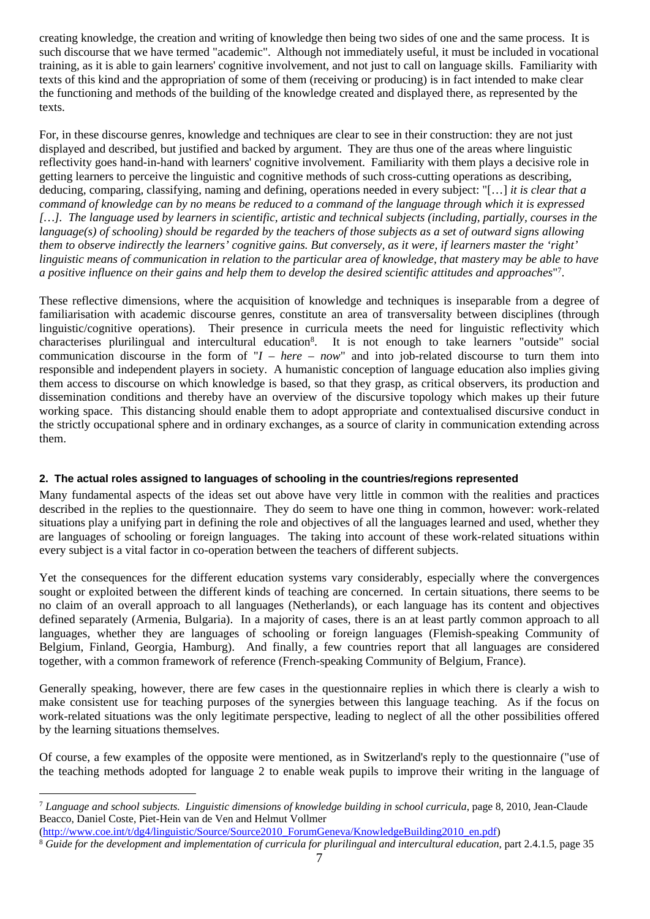creating knowledge, the creation and writing of knowledge then being two sides of one and the same process. It is such discourse that we have termed "academic". Although not immediately useful, it must be included in vocational training, as it is able to gain learners' cognitive involvement, and not just to call on language skills. Familiarity with texts of this kind and the appropriation of some of them (receiving or producing) is in fact intended to make clear the functioning and methods of the building of the knowledge created and displayed there, as represented by the texts.

For, in these discourse genres, knowledge and techniques are clear to see in their construction: they are not just displayed and described, but justified and backed by argument. They are thus one of the areas where linguistic reflectivity goes hand-in-hand with learners' cognitive involvement. Familiarity with them plays a decisive role in getting learners to perceive the linguistic and cognitive methods of such cross-cutting operations as describing, deducing, comparing, classifying, naming and defining, operations needed in every subject: "[…] *it is clear that a command of knowledge can by no means be reduced to a command of the language through which it is expressed […]. The language used by learners in scientific, artistic and technical subjects (including, partially, courses in the language(s) of schooling) should be regarded by the teachers of those subjects as a set of outward signs allowing them to observe indirectly the learners' cognitive gains. But conversely, as it were, if learners master the 'right' linguistic means of communication in relation to the particular area of knowledge, that mastery may be able to have a positive influence on their gains and help them to develop the desired scientific attitudes and approaches*" 7 .

These reflective dimensions, where the acquisition of knowledge and techniques is inseparable from a degree of familiarisation with academic discourse genres, constitute an area of transversality between disciplines (through linguistic/cognitive operations). Their presence in curricula meets the need for linguistic reflectivity which characterises plurilingual and intercultural education<sup>8</sup>. It is not enough to take learners "outside" social communication discourse in the form of "*I – here – now*" and into job-related discourse to turn them into responsible and independent players in society. A humanistic conception of language education also implies giving them access to discourse on which knowledge is based, so that they grasp, as critical observers, its production and dissemination conditions and thereby have an overview of the discursive topology which makes up their future working space. This distancing should enable them to adopt appropriate and contextualised discursive conduct in the strictly occupational sphere and in ordinary exchanges, as a source of clarity in communication extending across them.

# <span id="page-6-0"></span>**2. The actual roles assigned to languages of schooling in the countries/regions represented**

Many fundamental aspects of the ideas set out above have very little in common with the realities and practices described in the replies to the questionnaire. They do seem to have one thing in common, however: work-related situations play a unifying part in defining the role and objectives of all the languages learned and used, whether they are languages of schooling or foreign languages. The taking into account of these work-related situations within every subject is a vital factor in co-operation between the teachers of different subjects.

Yet the consequences for the different education systems vary considerably, especially where the convergences sought or exploited between the different kinds of teaching are concerned. In certain situations, there seems to be no claim of an overall approach to all languages (Netherlands), or each language has its content and objectives defined separately (Armenia, Bulgaria). In a majority of cases, there is an at least partly common approach to all languages, whether they are languages of schooling or foreign languages (Flemish-speaking Community of Belgium, Finland, Georgia, Hamburg). And finally, a few countries report that all languages are considered together, with a common framework of reference (French-speaking Community of Belgium, France).

Generally speaking, however, there are few cases in the questionnaire replies in which there is clearly a wish to make consistent use for teaching purposes of the synergies between this language teaching. As if the focus on work-related situations was the only legitimate perspective, leading to neglect of all the other possibilities offered by the learning situations themselves.

Of course, a few examples of the opposite were mentioned, as in Switzerland's reply to the questionnaire ("use of the teaching methods adopted for language 2 to enable weak pupils to improve their writing in the language of

[\(http://www.coe.int/t/dg4/linguistic/Source/Source2010\\_ForumGeneva/KnowledgeBuilding2010\\_en.pdf](http://www.coe.int/t/dg4/linguistic/Source/Source2010_ForumGeneva/KnowledgeBuilding2010_en.pdf))

<sup>7</sup> *Language and school subjects. Linguistic dimensions of knowledge building in school curricula*, page 8, 2010, Jean-Claude Beacco, Daniel Coste, Piet-Hein van de Ven and Helmut Vollmer

<sup>8</sup> *Guide for the development and implementation of curricula for plurilingual and intercultural education,* part 2.4.1.5, page 35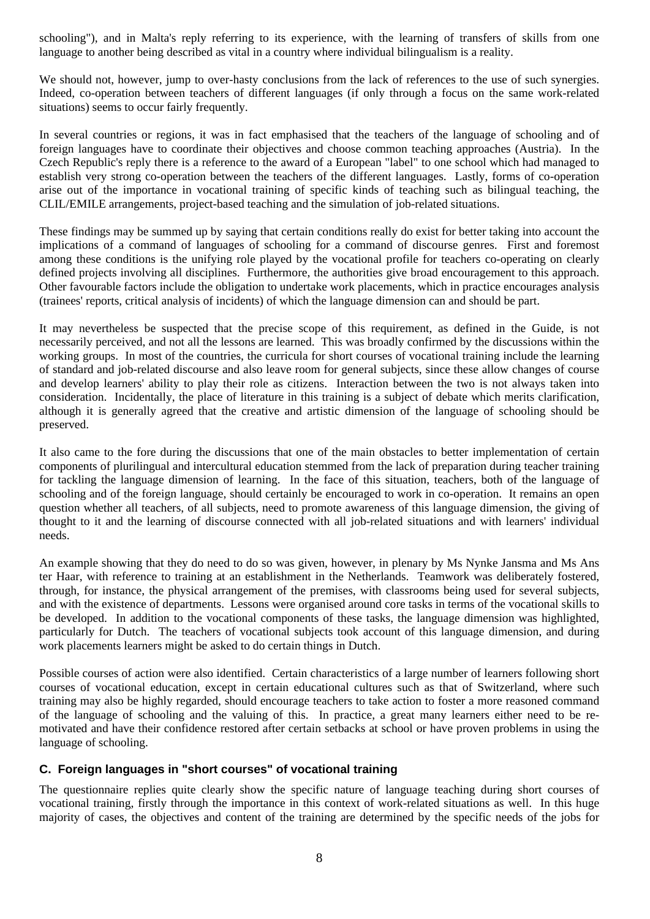schooling"), and in Malta's reply referring to its experience, with the learning of transfers of skills from one language to another being described as vital in a country where individual bilingualism is a reality.

We should not, however, jump to over-hasty conclusions from the lack of references to the use of such synergies. Indeed, co-operation between teachers of different languages (if only through a focus on the same work-related situations) seems to occur fairly frequently.

In several countries or regions, it was in fact emphasised that the teachers of the language of schooling and of foreign languages have to coordinate their objectives and choose common teaching approaches (Austria). In the Czech Republic's reply there is a reference to the award of a European "label" to one school which had managed to establish very strong co-operation between the teachers of the different languages. Lastly, forms of co-operation arise out of the importance in vocational training of specific kinds of teaching such as bilingual teaching, the CLIL/EMILE arrangements, project-based teaching and the simulation of job-related situations.

These findings may be summed up by saying that certain conditions really do exist for better taking into account the implications of a command of languages of schooling for a command of discourse genres. First and foremost among these conditions is the unifying role played by the vocational profile for teachers co-operating on clearly defined projects involving all disciplines. Furthermore, the authorities give broad encouragement to this approach. Other favourable factors include the obligation to undertake work placements, which in practice encourages analysis (trainees' reports, critical analysis of incidents) of which the language dimension can and should be part.

It may nevertheless be suspected that the precise scope of this requirement, as defined in the Guide, is not necessarily perceived, and not all the lessons are learned. This was broadly confirmed by the discussions within the working groups. In most of the countries, the curricula for short courses of vocational training include the learning of standard and job-related discourse and also leave room for general subjects, since these allow changes of course and develop learners' ability to play their role as citizens. Interaction between the two is not always taken into consideration. Incidentally, the place of literature in this training is a subject of debate which merits clarification, although it is generally agreed that the creative and artistic dimension of the language of schooling should be preserved.

It also came to the fore during the discussions that one of the main obstacles to better implementation of certain components of plurilingual and intercultural education stemmed from the lack of preparation during teacher training for tackling the language dimension of learning. In the face of this situation, teachers, both of the language of schooling and of the foreign language, should certainly be encouraged to work in co-operation. It remains an open question whether all teachers, of all subjects, need to promote awareness of this language dimension, the giving of thought to it and the learning of discourse connected with all job-related situations and with learners' individual needs.

An example showing that they do need to do so was given, however, in plenary by Ms Nynke Jansma and Ms Ans ter Haar, with reference to training at an establishment in the Netherlands. Teamwork was deliberately fostered, through, for instance, the physical arrangement of the premises, with classrooms being used for several subjects, and with the existence of departments. Lessons were organised around core tasks in terms of the vocational skills to be developed. In addition to the vocational components of these tasks, the language dimension was highlighted, particularly for Dutch. The teachers of vocational subjects took account of this language dimension, and during work placements learners might be asked to do certain things in Dutch.

Possible courses of action were also identified. Certain characteristics of a large number of learners following short courses of vocational education, except in certain educational cultures such as that of Switzerland, where such training may also be highly regarded, should encourage teachers to take action to foster a more reasoned command of the language of schooling and the valuing of this. In practice, a great many learners either need to be remotivated and have their confidence restored after certain setbacks at school or have proven problems in using the language of schooling.

# <span id="page-7-0"></span>**C. Foreign languages in "short courses" of vocational training**

The questionnaire replies quite clearly show the specific nature of language teaching during short courses of vocational training, firstly through the importance in this context of work-related situations as well. In this huge majority of cases, the objectives and content of the training are determined by the specific needs of the jobs for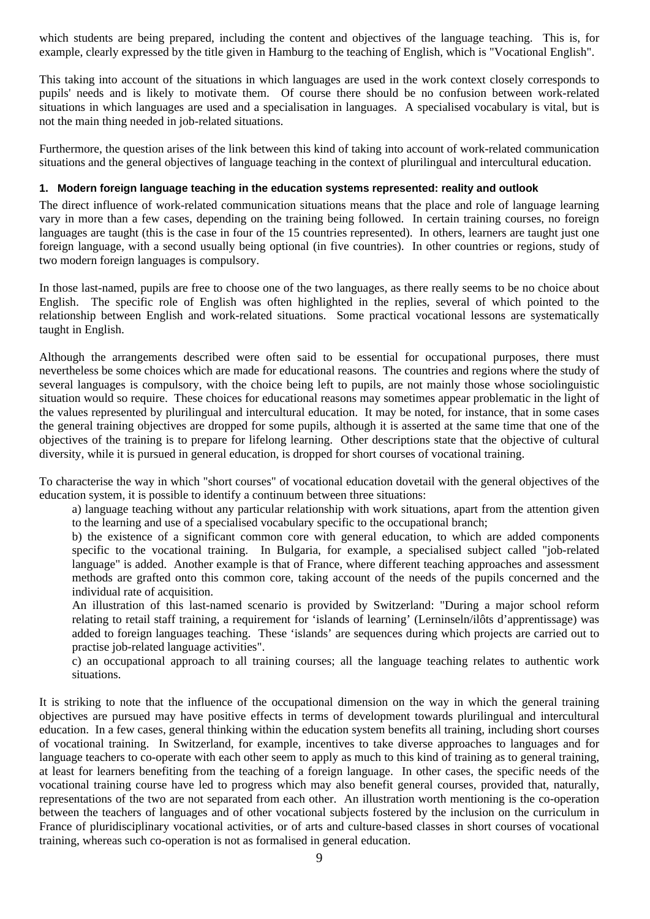which students are being prepared, including the content and objectives of the language teaching. This is, for example, clearly expressed by the title given in Hamburg to the teaching of English, which is "Vocational English".

This taking into account of the situations in which languages are used in the work context closely corresponds to pupils' needs and is likely to motivate them. Of course there should be no confusion between work-related situations in which languages are used and a specialisation in languages. A specialised vocabulary is vital, but is not the main thing needed in job-related situations.

Furthermore, the question arises of the link between this kind of taking into account of work-related communication situations and the general objectives of language teaching in the context of plurilingual and intercultural education.

#### <span id="page-8-0"></span>**1. Modern foreign language teaching in the education systems represented: reality and outlook**

The direct influence of work-related communication situations means that the place and role of language learning vary in more than a few cases, depending on the training being followed. In certain training courses, no foreign languages are taught (this is the case in four of the 15 countries represented). In others, learners are taught just one foreign language, with a second usually being optional (in five countries). In other countries or regions, study of two modern foreign languages is compulsory.

In those last-named, pupils are free to choose one of the two languages, as there really seems to be no choice about English. The specific role of English was often highlighted in the replies, several of which pointed to the relationship between English and work-related situations. Some practical vocational lessons are systematically taught in English.

Although the arrangements described were often said to be essential for occupational purposes, there must nevertheless be some choices which are made for educational reasons. The countries and regions where the study of several languages is compulsory, with the choice being left to pupils, are not mainly those whose sociolinguistic situation would so require. These choices for educational reasons may sometimes appear problematic in the light of the values represented by plurilingual and intercultural education. It may be noted, for instance, that in some cases the general training objectives are dropped for some pupils, although it is asserted at the same time that one of the objectives of the training is to prepare for lifelong learning. Other descriptions state that the objective of cultural diversity, while it is pursued in general education, is dropped for short courses of vocational training.

To characterise the way in which "short courses" of vocational education dovetail with the general objectives of the education system, it is possible to identify a continuum between three situations:

a) language teaching without any particular relationship with work situations, apart from the attention given to the learning and use of a specialised vocabulary specific to the occupational branch;

b) the existence of a significant common core with general education, to which are added components specific to the vocational training. In Bulgaria, for example, a specialised subject called "job-related language" is added. Another example is that of France, where different teaching approaches and assessment methods are grafted onto this common core, taking account of the needs of the pupils concerned and the individual rate of acquisition.

An illustration of this last-named scenario is provided by Switzerland: "During a major school reform relating to retail staff training, a requirement for 'islands of learning' (Lerninseln/ilôts d'apprentissage) was added to foreign languages teaching. These 'islands' are sequences during which projects are carried out to practise job-related language activities".

c) an occupational approach to all training courses; all the language teaching relates to authentic work situations.

It is striking to note that the influence of the occupational dimension on the way in which the general training objectives are pursued may have positive effects in terms of development towards plurilingual and intercultural education. In a few cases, general thinking within the education system benefits all training, including short courses of vocational training. In Switzerland, for example, incentives to take diverse approaches to languages and for language teachers to co-operate with each other seem to apply as much to this kind of training as to general training, at least for learners benefiting from the teaching of a foreign language. In other cases, the specific needs of the vocational training course have led to progress which may also benefit general courses, provided that, naturally, representations of the two are not separated from each other. An illustration worth mentioning is the co-operation between the teachers of languages and of other vocational subjects fostered by the inclusion on the curriculum in France of pluridisciplinary vocational activities, or of arts and culture-based classes in short courses of vocational training, whereas such co-operation is not as formalised in general education.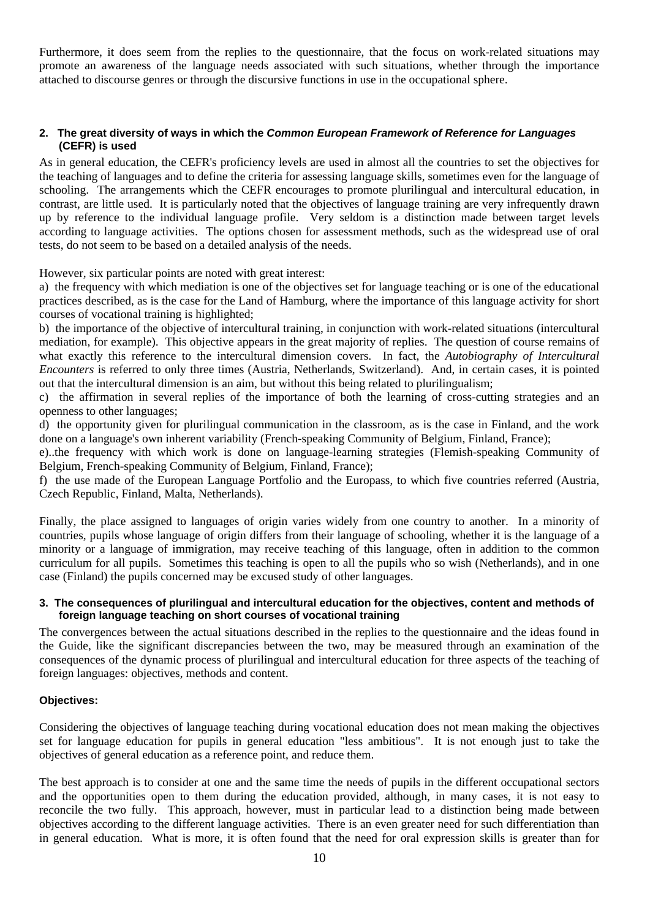Furthermore, it does seem from the replies to the questionnaire, that the focus on work-related situations may promote an awareness of the language needs associated with such situations, whether through the importance attached to discourse genres or through the discursive functions in use in the occupational sphere.

#### <span id="page-9-0"></span>**2. The great diversity of ways in which the** *Common European Framework of Reference for Languages* **(CEFR) is used**

As in general education, the CEFR's proficiency levels are used in almost all the countries to set the objectives for the teaching of languages and to define the criteria for assessing language skills, sometimes even for the language of schooling. The arrangements which the CEFR encourages to promote plurilingual and intercultural education, in contrast, are little used. It is particularly noted that the objectives of language training are very infrequently drawn up by reference to the individual language profile. Very seldom is a distinction made between target levels according to language activities. The options chosen for assessment methods, such as the widespread use of oral tests, do not seem to be based on a detailed analysis of the needs.

However, six particular points are noted with great interest:

a) the frequency with which mediation is one of the objectives set for language teaching or is one of the educational practices described, as is the case for the Land of Hamburg, where the importance of this language activity for short courses of vocational training is highlighted;

b) the importance of the objective of intercultural training, in conjunction with work-related situations (intercultural mediation, for example). This objective appears in the great majority of replies. The question of course remains of what exactly this reference to the intercultural dimension covers. In fact, the *Autobiography of Intercultural Encounters* is referred to only three times (Austria, Netherlands, Switzerland). And, in certain cases, it is pointed out that the intercultural dimension is an aim, but without this being related to plurilingualism;

c) the affirmation in several replies of the importance of both the learning of cross-cutting strategies and an openness to other languages;

d) the opportunity given for plurilingual communication in the classroom, as is the case in Finland, and the work done on a language's own inherent variability (French-speaking Community of Belgium, Finland, France);

e)..the frequency with which work is done on language-learning strategies (Flemish-speaking Community of Belgium, French-speaking Community of Belgium, Finland, France);

f) the use made of the European Language Portfolio and the Europass, to which five countries referred (Austria, Czech Republic, Finland, Malta, Netherlands).

Finally, the place assigned to languages of origin varies widely from one country to another. In a minority of countries, pupils whose language of origin differs from their language of schooling, whether it is the language of a minority or a language of immigration, may receive teaching of this language, often in addition to the common curriculum for all pupils. Sometimes this teaching is open to all the pupils who so wish (Netherlands), and in one case (Finland) the pupils concerned may be excused study of other languages.

#### <span id="page-9-1"></span>**3. The consequences of plurilingual and intercultural education for the objectives, content and methods of foreign language teaching on short courses of vocational training**

The convergences between the actual situations described in the replies to the questionnaire and the ideas found in the Guide, like the significant discrepancies between the two, may be measured through an examination of the consequences of the dynamic process of plurilingual and intercultural education for three aspects of the teaching of foreign languages: objectives, methods and content.

#### **Objectives:**

Considering the objectives of language teaching during vocational education does not mean making the objectives set for language education for pupils in general education "less ambitious". It is not enough just to take the objectives of general education as a reference point, and reduce them.

The best approach is to consider at one and the same time the needs of pupils in the different occupational sectors and the opportunities open to them during the education provided, although, in many cases, it is not easy to reconcile the two fully. This approach, however, must in particular lead to a distinction being made between objectives according to the different language activities. There is an even greater need for such differentiation than in general education. What is more, it is often found that the need for oral expression skills is greater than for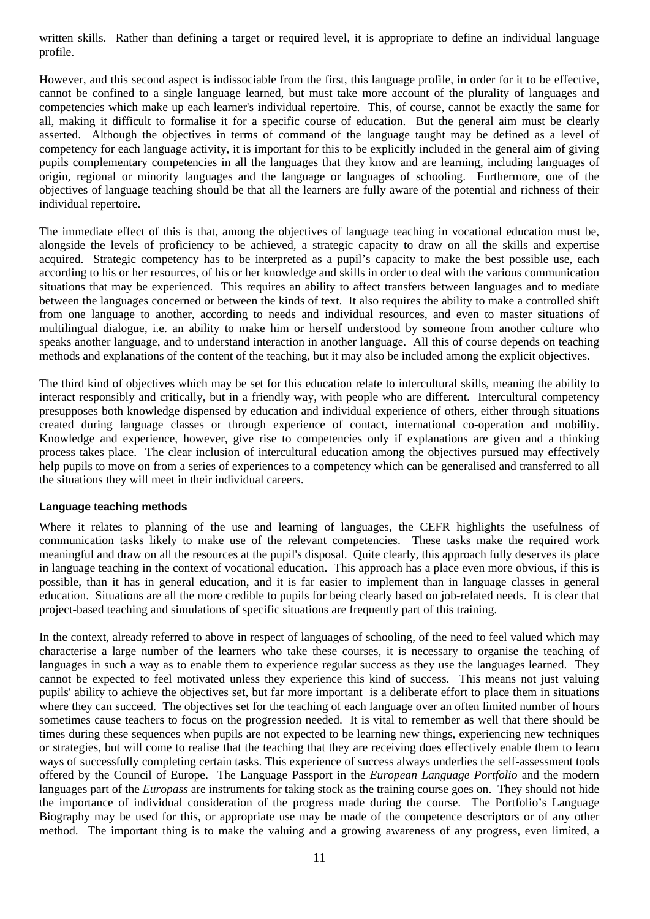written skills. Rather than defining a target or required level, it is appropriate to define an individual language profile.

However, and this second aspect is indissociable from the first, this language profile, in order for it to be effective, cannot be confined to a single language learned, but must take more account of the plurality of languages and competencies which make up each learner's individual repertoire. This, of course, cannot be exactly the same for all, making it difficult to formalise it for a specific course of education. But the general aim must be clearly asserted. Although the objectives in terms of command of the language taught may be defined as a level of competency for each language activity, it is important for this to be explicitly included in the general aim of giving pupils complementary competencies in all the languages that they know and are learning, including languages of origin, regional or minority languages and the language or languages of schooling. Furthermore, one of the objectives of language teaching should be that all the learners are fully aware of the potential and richness of their individual repertoire.

The immediate effect of this is that, among the objectives of language teaching in vocational education must be, alongside the levels of proficiency to be achieved, a strategic capacity to draw on all the skills and expertise acquired. Strategic competency has to be interpreted as a pupil's capacity to make the best possible use, each according to his or her resources, of his or her knowledge and skills in order to deal with the various communication situations that may be experienced. This requires an ability to affect transfers between languages and to mediate between the languages concerned or between the kinds of text. It also requires the ability to make a controlled shift from one language to another, according to needs and individual resources, and even to master situations of multilingual dialogue, i.e. an ability to make him or herself understood by someone from another culture who speaks another language, and to understand interaction in another language. All this of course depends on teaching methods and explanations of the content of the teaching, but it may also be included among the explicit objectives.

The third kind of objectives which may be set for this education relate to intercultural skills, meaning the ability to interact responsibly and critically, but in a friendly way, with people who are different. Intercultural competency presupposes both knowledge dispensed by education and individual experience of others, either through situations created during language classes or through experience of contact, international co-operation and mobility. Knowledge and experience, however, give rise to competencies only if explanations are given and a thinking process takes place. The clear inclusion of intercultural education among the objectives pursued may effectively help pupils to move on from a series of experiences to a competency which can be generalised and transferred to all the situations they will meet in their individual careers.

#### **Language teaching methods**

Where it relates to planning of the use and learning of languages, the CEFR highlights the usefulness of communication tasks likely to make use of the relevant competencies. These tasks make the required work meaningful and draw on all the resources at the pupil's disposal. Quite clearly, this approach fully deserves its place in language teaching in the context of vocational education. This approach has a place even more obvious, if this is possible, than it has in general education, and it is far easier to implement than in language classes in general education. Situations are all the more credible to pupils for being clearly based on job-related needs. It is clear that project-based teaching and simulations of specific situations are frequently part of this training.

In the context, already referred to above in respect of languages of schooling, of the need to feel valued which may characterise a large number of the learners who take these courses, it is necessary to organise the teaching of languages in such a way as to enable them to experience regular success as they use the languages learned. They cannot be expected to feel motivated unless they experience this kind of success. This means not just valuing pupils' ability to achieve the objectives set, but far more important is a deliberate effort to place them in situations where they can succeed. The objectives set for the teaching of each language over an often limited number of hours sometimes cause teachers to focus on the progression needed. It is vital to remember as well that there should be times during these sequences when pupils are not expected to be learning new things, experiencing new techniques or strategies, but will come to realise that the teaching that they are receiving does effectively enable them to learn ways of successfully completing certain tasks. This experience of success always underlies the self-assessment tools offered by the Council of Europe. The Language Passport in the *European Language Portfolio* and the modern languages part of the *Europass* are instruments for taking stock as the training course goes on. They should not hide the importance of individual consideration of the progress made during the course. The Portfolio's Language Biography may be used for this, or appropriate use may be made of the competence descriptors or of any other method. The important thing is to make the valuing and a growing awareness of any progress, even limited, a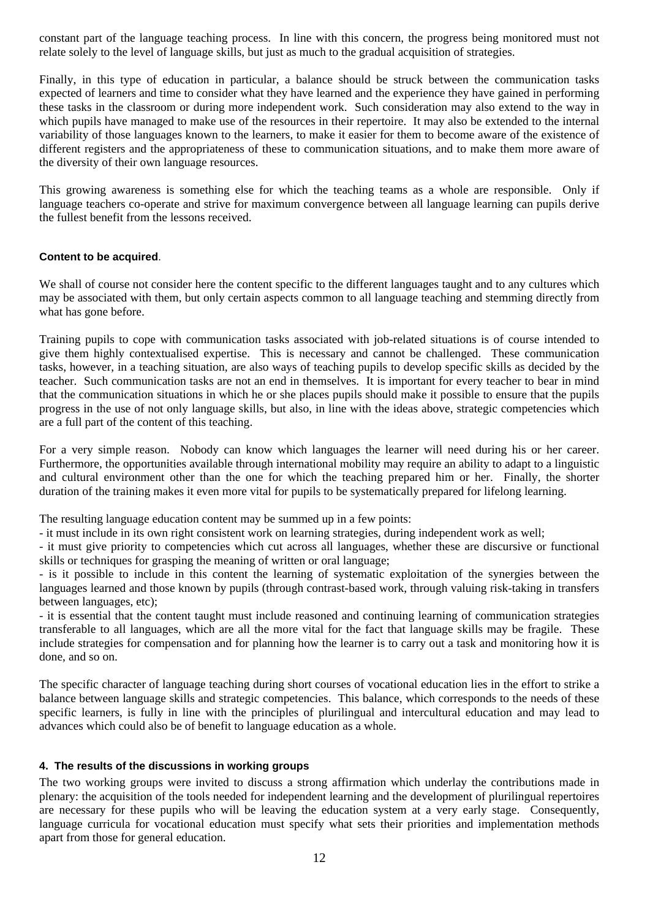constant part of the language teaching process. In line with this concern, the progress being monitored must not relate solely to the level of language skills, but just as much to the gradual acquisition of strategies.

Finally, in this type of education in particular, a balance should be struck between the communication tasks expected of learners and time to consider what they have learned and the experience they have gained in performing these tasks in the classroom or during more independent work. Such consideration may also extend to the way in which pupils have managed to make use of the resources in their repertoire. It may also be extended to the internal variability of those languages known to the learners, to make it easier for them to become aware of the existence of different registers and the appropriateness of these to communication situations, and to make them more aware of the diversity of their own language resources.

This growing awareness is something else for which the teaching teams as a whole are responsible. Only if language teachers co-operate and strive for maximum convergence between all language learning can pupils derive the fullest benefit from the lessons received.

#### **Content to be acquired**.

We shall of course not consider here the content specific to the different languages taught and to any cultures which may be associated with them, but only certain aspects common to all language teaching and stemming directly from what has gone before.

Training pupils to cope with communication tasks associated with job-related situations is of course intended to give them highly contextualised expertise. This is necessary and cannot be challenged. These communication tasks, however, in a teaching situation, are also ways of teaching pupils to develop specific skills as decided by the teacher. Such communication tasks are not an end in themselves. It is important for every teacher to bear in mind that the communication situations in which he or she places pupils should make it possible to ensure that the pupils progress in the use of not only language skills, but also, in line with the ideas above, strategic competencies which are a full part of the content of this teaching.

For a very simple reason. Nobody can know which languages the learner will need during his or her career. Furthermore, the opportunities available through international mobility may require an ability to adapt to a linguistic and cultural environment other than the one for which the teaching prepared him or her. Finally, the shorter duration of the training makes it even more vital for pupils to be systematically prepared for lifelong learning.

The resulting language education content may be summed up in a few points:

- it must include in its own right consistent work on learning strategies, during independent work as well;

- it must give priority to competencies which cut across all languages, whether these are discursive or functional skills or techniques for grasping the meaning of written or oral language;

- is it possible to include in this content the learning of systematic exploitation of the synergies between the languages learned and those known by pupils (through contrast-based work, through valuing risk-taking in transfers between languages, etc);

- it is essential that the content taught must include reasoned and continuing learning of communication strategies transferable to all languages, which are all the more vital for the fact that language skills may be fragile. These include strategies for compensation and for planning how the learner is to carry out a task and monitoring how it is done, and so on.

The specific character of language teaching during short courses of vocational education lies in the effort to strike a balance between language skills and strategic competencies. This balance, which corresponds to the needs of these specific learners, is fully in line with the principles of plurilingual and intercultural education and may lead to advances which could also be of benefit to language education as a whole.

#### <span id="page-11-0"></span>**4. The results of the discussions in working groups**

The two working groups were invited to discuss a strong affirmation which underlay the contributions made in plenary: the acquisition of the tools needed for independent learning and the development of plurilingual repertoires are necessary for these pupils who will be leaving the education system at a very early stage. Consequently, language curricula for vocational education must specify what sets their priorities and implementation methods apart from those for general education.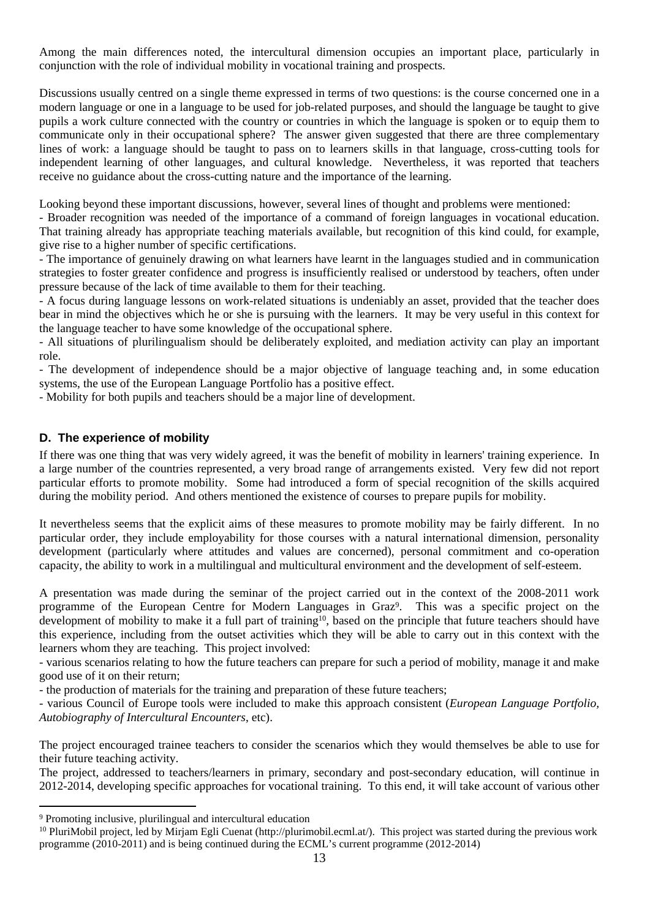Among the main differences noted, the intercultural dimension occupies an important place, particularly in conjunction with the role of individual mobility in vocational training and prospects.

Discussions usually centred on a single theme expressed in terms of two questions: is the course concerned one in a modern language or one in a language to be used for job-related purposes, and should the language be taught to give pupils a work culture connected with the country or countries in which the language is spoken or to equip them to communicate only in their occupational sphere? The answer given suggested that there are three complementary lines of work: a language should be taught to pass on to learners skills in that language, cross-cutting tools for independent learning of other languages, and cultural knowledge. Nevertheless, it was reported that teachers receive no guidance about the cross-cutting nature and the importance of the learning.

Looking beyond these important discussions, however, several lines of thought and problems were mentioned:

- Broader recognition was needed of the importance of a command of foreign languages in vocational education. That training already has appropriate teaching materials available, but recognition of this kind could, for example, give rise to a higher number of specific certifications.

- The importance of genuinely drawing on what learners have learnt in the languages studied and in communication strategies to foster greater confidence and progress is insufficiently realised or understood by teachers, often under pressure because of the lack of time available to them for their teaching.

- A focus during language lessons on work-related situations is undeniably an asset, provided that the teacher does bear in mind the objectives which he or she is pursuing with the learners. It may be very useful in this context for the language teacher to have some knowledge of the occupational sphere.

- All situations of plurilingualism should be deliberately exploited, and mediation activity can play an important role.

- The development of independence should be a major objective of language teaching and, in some education systems, the use of the European Language Portfolio has a positive effect.

- Mobility for both pupils and teachers should be a major line of development.

#### <span id="page-12-0"></span>**D. The experience of mobility**

If there was one thing that was very widely agreed, it was the benefit of mobility in learners' training experience. In a large number of the countries represented, a very broad range of arrangements existed. Very few did not report particular efforts to promote mobility. Some had introduced a form of special recognition of the skills acquired during the mobility period. And others mentioned the existence of courses to prepare pupils for mobility.

It nevertheless seems that the explicit aims of these measures to promote mobility may be fairly different. In no particular order, they include employability for those courses with a natural international dimension, personality development (particularly where attitudes and values are concerned), personal commitment and co-operation capacity, the ability to work in a multilingual and multicultural environment and the development of self-esteem.

A presentation was made during the seminar of the project carried out in the context of the 2008-2011 work programme of the European Centre for Modern Languages in Graz<sup>9</sup>. This was a specific project on the development of mobility to make it a full part of training<sup>10</sup>, based on the principle that future teachers should have this experience, including from the outset activities which they will be able to carry out in this context with the learners whom they are teaching. This project involved:

- various scenarios relating to how the future teachers can prepare for such a period of mobility, manage it and make good use of it on their return;

- the production of materials for the training and preparation of these future teachers;

- various Council of Europe tools were included to make this approach consistent (*European Language Portfolio, Autobiography of Intercultural Encounters*, etc).

The project encouraged trainee teachers to consider the scenarios which they would themselves be able to use for their future teaching activity.

The project, addressed to teachers/learners in primary, secondary and post-secondary education, will continue in 2012-2014, developing specific approaches for vocational training. To this end, it will take account of various other

<sup>9</sup> Promoting inclusive, plurilingual and intercultural education

<sup>&</sup>lt;sup>10</sup> PluriMobil project, led by Mirjam Egli Cuenat [\(http://plurimobil.ecml.at/\)](http://plurimobil.ecml.at/). This project was started during the previous work programme (2010-2011) and is being continued during the ECML's current programme (2012-2014)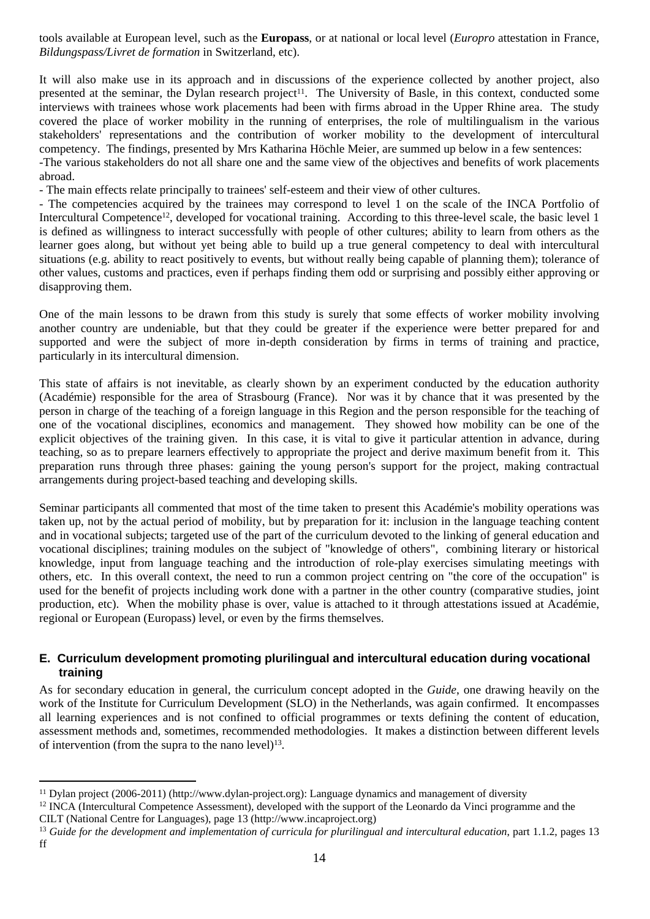tools available at European level, such as the **Europass**, or at national or local level (*Europro* attestation in France, *Bildungspass/Livret de formation* in Switzerland, etc).

It will also make use in its approach and in discussions of the experience collected by another project, also presented at the seminar, the Dylan research project<sup>11</sup>. The University of Basle, in this context, conducted some interviews with trainees whose work placements had been with firms abroad in the Upper Rhine area. The study covered the place of worker mobility in the running of enterprises, the role of multilingualism in the various stakeholders' representations and the contribution of worker mobility to the development of intercultural competency. The findings, presented by Mrs Katharina Höchle Meier, are summed up below in a few sentences: -The various stakeholders do not all share one and the same view of the objectives and benefits of work placements abroad.

- The main effects relate principally to trainees' self-esteem and their view of other cultures.

- The competencies acquired by the trainees may correspond to level 1 on the scale of the INCA Portfolio of Intercultural Competence<sup>12</sup>, developed for vocational training. According to this three-level scale, the basic level 1 is defined as willingness to interact successfully with people of other cultures; ability to learn from others as the learner goes along, but without yet being able to build up a true general competency to deal with intercultural situations (e.g. ability to react positively to events, but without really being capable of planning them); tolerance of other values, customs and practices, even if perhaps finding them odd or surprising and possibly either approving or disapproving them.

One of the main lessons to be drawn from this study is surely that some effects of worker mobility involving another country are undeniable, but that they could be greater if the experience were better prepared for and supported and were the subject of more in-depth consideration by firms in terms of training and practice, particularly in its intercultural dimension.

This state of affairs is not inevitable, as clearly shown by an experiment conducted by the education authority (Académie) responsible for the area of Strasbourg (France). Nor was it by chance that it was presented by the person in charge of the teaching of a foreign language in this Region and the person responsible for the teaching of one of the vocational disciplines, economics and management. They showed how mobility can be one of the explicit objectives of the training given. In this case, it is vital to give it particular attention in advance, during teaching, so as to prepare learners effectively to appropriate the project and derive maximum benefit from it. This preparation runs through three phases: gaining the young person's support for the project, making contractual arrangements during project-based teaching and developing skills.

Seminar participants all commented that most of the time taken to present this Académie's mobility operations was taken up, not by the actual period of mobility, but by preparation for it: inclusion in the language teaching content and in vocational subjects; targeted use of the part of the curriculum devoted to the linking of general education and vocational disciplines; training modules on the subject of "knowledge of others", combining literary or historical knowledge, input from language teaching and the introduction of role-play exercises simulating meetings with others, etc. In this overall context, the need to run a common project centring on "the core of the occupation" is used for the benefit of projects including work done with a partner in the other country (comparative studies, joint production, etc). When the mobility phase is over, value is attached to it through attestations issued at Académie, regional or European (Europass) level, or even by the firms themselves.

#### <span id="page-13-0"></span>**E. Curriculum development promoting plurilingual and intercultural education during vocational training**

As for secondary education in general, the curriculum concept adopted in the *Guide*, one drawing heavily on the work of the Institute for Curriculum Development (SLO) in the Netherlands, was again confirmed. It encompasses all learning experiences and is not confined to official programmes or texts defining the content of education, assessment methods and, sometimes, recommended methodologies. It makes a distinction between different levels of intervention (from the supra to the nano level) $13$ .

<sup>11</sup> Dylan project (2006-2011) [\(http://www.dylan-project.org](http://www.dylan-project.org)): Language dynamics and management of diversity

<sup>&</sup>lt;sup>12</sup> INCA (Intercultural Competence Assessment), developed with the support of the Leonardo da Vinci programme and the CILT (National Centre for Languages), page 13 (http://www.incaproject.org)

<sup>13</sup> *Guide for the development and implementation of curricula for plurilingual and intercultural education*, part 1.1.2, pages 13 ff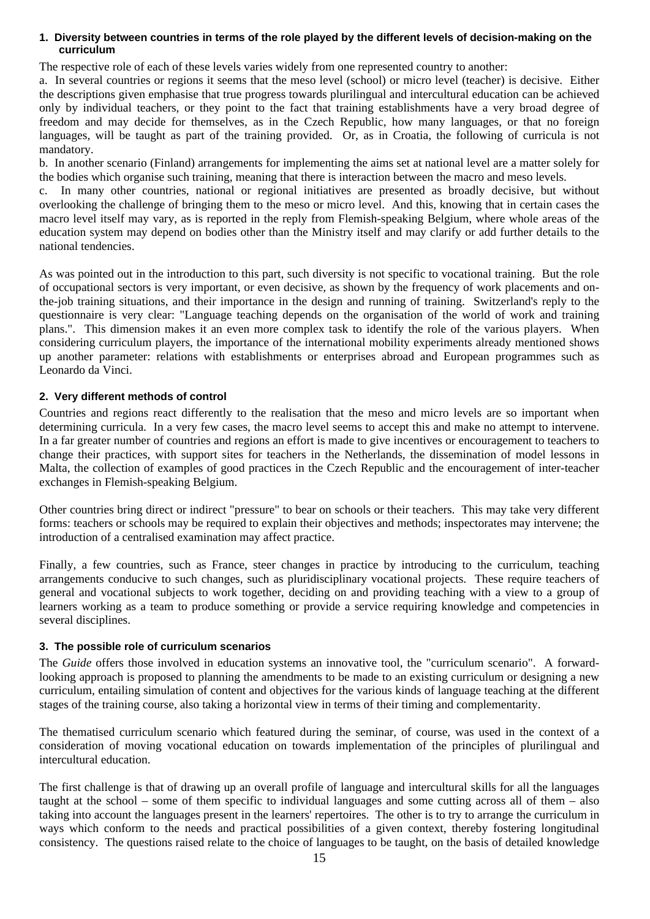#### <span id="page-14-0"></span>**1. Diversity between countries in terms of the role played by the different levels of decision-making on the curriculum**

The respective role of each of these levels varies widely from one represented country to another:

a. In several countries or regions it seems that the meso level (school) or micro level (teacher) is decisive. Either the descriptions given emphasise that true progress towards plurilingual and intercultural education can be achieved only by individual teachers, or they point to the fact that training establishments have a very broad degree of freedom and may decide for themselves, as in the Czech Republic, how many languages, or that no foreign languages, will be taught as part of the training provided. Or, as in Croatia, the following of curricula is not mandatory.

b. In another scenario (Finland) arrangements for implementing the aims set at national level are a matter solely for the bodies which organise such training, meaning that there is interaction between the macro and meso levels.

c. In many other countries, national or regional initiatives are presented as broadly decisive, but without overlooking the challenge of bringing them to the meso or micro level. And this, knowing that in certain cases the macro level itself may vary, as is reported in the reply from Flemish-speaking Belgium, where whole areas of the education system may depend on bodies other than the Ministry itself and may clarify or add further details to the national tendencies.

As was pointed out in the introduction to this part, such diversity is not specific to vocational training. But the role of occupational sectors is very important, or even decisive, as shown by the frequency of work placements and onthe-job training situations, and their importance in the design and running of training. Switzerland's reply to the questionnaire is very clear: "Language teaching depends on the organisation of the world of work and training plans.". This dimension makes it an even more complex task to identify the role of the various players. When considering curriculum players, the importance of the international mobility experiments already mentioned shows up another parameter: relations with establishments or enterprises abroad and European programmes such as Leonardo da Vinci.

# <span id="page-14-1"></span>**2. Very different methods of control**

Countries and regions react differently to the realisation that the meso and micro levels are so important when determining curricula. In a very few cases, the macro level seems to accept this and make no attempt to intervene. In a far greater number of countries and regions an effort is made to give incentives or encouragement to teachers to change their practices, with support sites for teachers in the Netherlands, the dissemination of model lessons in Malta, the collection of examples of good practices in the Czech Republic and the encouragement of inter-teacher exchanges in Flemish-speaking Belgium.

Other countries bring direct or indirect "pressure" to bear on schools or their teachers. This may take very different forms: teachers or schools may be required to explain their objectives and methods; inspectorates may intervene; the introduction of a centralised examination may affect practice.

Finally, a few countries, such as France, steer changes in practice by introducing to the curriculum, teaching arrangements conducive to such changes, such as pluridisciplinary vocational projects. These require teachers of general and vocational subjects to work together, deciding on and providing teaching with a view to a group of learners working as a team to produce something or provide a service requiring knowledge and competencies in several disciplines.

# <span id="page-14-2"></span>**3. The possible role of curriculum scenarios**

The *Guide* offers those involved in education systems an innovative tool, the "curriculum scenario". A forwardlooking approach is proposed to planning the amendments to be made to an existing curriculum or designing a new curriculum, entailing simulation of content and objectives for the various kinds of language teaching at the different stages of the training course, also taking a horizontal view in terms of their timing and complementarity.

The thematised curriculum scenario which featured during the seminar, of course, was used in the context of a consideration of moving vocational education on towards implementation of the principles of plurilingual and intercultural education.

The first challenge is that of drawing up an overall profile of language and intercultural skills for all the languages taught at the school – some of them specific to individual languages and some cutting across all of them – also taking into account the languages present in the learners' repertoires. The other is to try to arrange the curriculum in ways which conform to the needs and practical possibilities of a given context, thereby fostering longitudinal consistency. The questions raised relate to the choice of languages to be taught, on the basis of detailed knowledge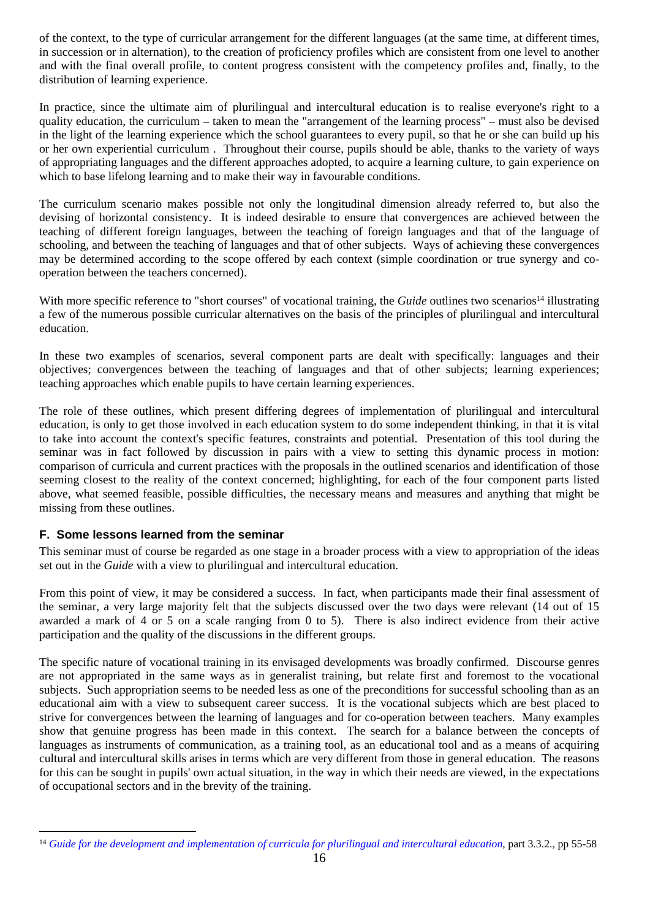of the context, to the type of curricular arrangement for the different languages (at the same time, at different times, in succession or in alternation), to the creation of proficiency profiles which are consistent from one level to another and with the final overall profile, to content progress consistent with the competency profiles and, finally, to the distribution of learning experience.

In practice, since the ultimate aim of plurilingual and intercultural education is to realise everyone's right to a quality education, the curriculum – taken to mean the "arrangement of the learning process" – must also be devised in the light of the learning experience which the school guarantees to every pupil, so that he or she can build up his or her own experiential curriculum . Throughout their course, pupils should be able, thanks to the variety of ways of appropriating languages and the different approaches adopted, to acquire a learning culture, to gain experience on which to base lifelong learning and to make their way in favourable conditions.

The curriculum scenario makes possible not only the longitudinal dimension already referred to, but also the devising of horizontal consistency. It is indeed desirable to ensure that convergences are achieved between the teaching of different foreign languages, between the teaching of foreign languages and that of the language of schooling, and between the teaching of languages and that of other subjects. Ways of achieving these convergences may be determined according to the scope offered by each context (simple coordination or true synergy and cooperation between the teachers concerned).

With more specific reference to "short courses" of vocational training, the *Guide* outlines two scenarios<sup>14</sup> illustrating a few of the numerous possible curricular alternatives on the basis of the principles of plurilingual and intercultural education.

In these two examples of scenarios, several component parts are dealt with specifically: languages and their objectives; convergences between the teaching of languages and that of other subjects; learning experiences; teaching approaches which enable pupils to have certain learning experiences.

The role of these outlines, which present differing degrees of implementation of plurilingual and intercultural education, is only to get those involved in each education system to do some independent thinking, in that it is vital to take into account the context's specific features, constraints and potential. Presentation of this tool during the seminar was in fact followed by discussion in pairs with a view to setting this dynamic process in motion: comparison of curricula and current practices with the proposals in the outlined scenarios and identification of those seeming closest to the reality of the context concerned; highlighting, for each of the four component parts listed above, what seemed feasible, possible difficulties, the necessary means and measures and anything that might be missing from these outlines.

# <span id="page-15-0"></span>**F. Some lessons learned from the seminar**

This seminar must of course be regarded as one stage in a broader process with a view to appropriation of the ideas set out in the *Guide* with a view to plurilingual and intercultural education.

From this point of view, it may be considered a success. In fact, when participants made their final assessment of the seminar, a very large majority felt that the subjects discussed over the two days were relevant (14 out of 15 awarded a mark of 4 or 5 on a scale ranging from 0 to 5). There is also indirect evidence from their active participation and the quality of the discussions in the different groups.

The specific nature of vocational training in its envisaged developments was broadly confirmed. Discourse genres are not appropriated in the same ways as in generalist training, but relate first and foremost to the vocational subjects. Such appropriation seems to be needed less as one of the preconditions for successful schooling than as an educational aim with a view to subsequent career success. It is the vocational subjects which are best placed to strive for convergences between the learning of languages and for co-operation between teachers. Many examples show that genuine progress has been made in this context. The search for a balance between the concepts of languages as instruments of communication, as a training tool, as an educational tool and as a means of acquiring cultural and intercultural skills arises in terms which are very different from those in general education. The reasons for this can be sought in pupils' own actual situation, in the way in which their needs are viewed, in the expectations of occupational sectors and in the brevity of the training.

<sup>&</sup>lt;sup>14</sup> [Guide for the development and implementation of curricula for plurilingual and intercultural education](http://www.coe.int/t/dg4/linguistic/Source/Source2010_ForumGeneva/GuideEPI2010_en.doc), part 3.3.2., pp 55-58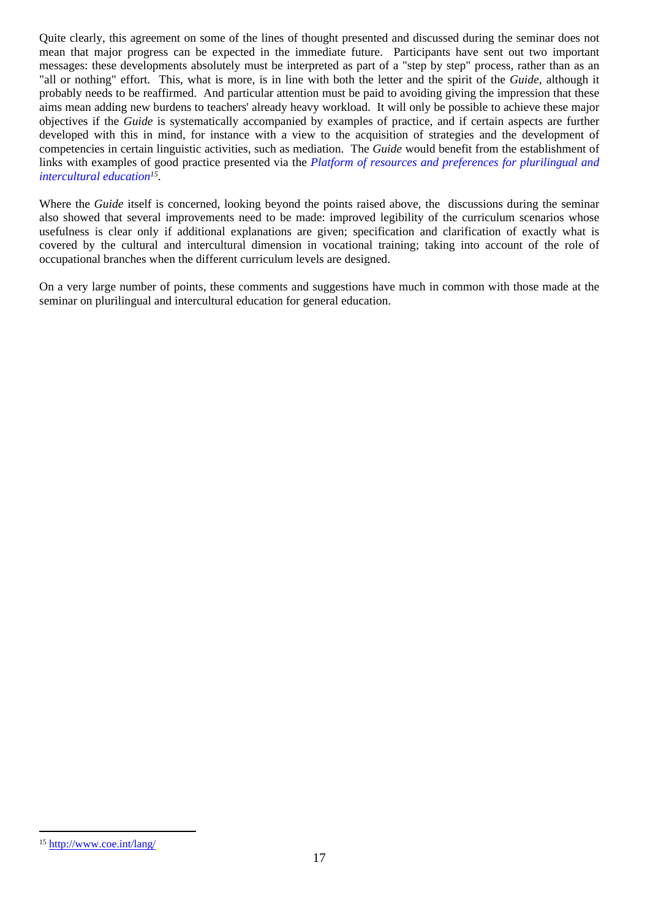Quite clearly, this agreement on some of the lines of thought presented and discussed during the seminar does not mean that major progress can be expected in the immediate future. Participants have sent out two important messages: these developments absolutely must be interpreted as part of a "step by step" process, rather than as an "all or nothing" effort. This, what is more, is in line with both the letter and the spirit of the *Guide*, although it probably needs to be reaffirmed. And particular attention must be paid to avoiding giving the impression that these aims mean adding new burdens to teachers' already heavy workload. It will only be possible to achieve these major objectives if the *Guide* is systematically accompanied by examples of practice, and if certain aspects are further developed with this in mind, for instance with a view to the acquisition of strategies and the development of competencies in certain linguistic activities, such as mediation. The *Guide* would benefit from the establishment of links with examples of good practice presented via the *[Platform of resources and preferences for plurilingual and](http://www.coe.int/t/dg4/linguistic/langeduc/le_platformintro_EN.asp?)  [intercultural education](http://www.coe.int/t/dg4/linguistic/langeduc/le_platformintro_EN.asp?)<sup>15</sup>* .

Where the *Guide* itself is concerned, looking beyond the points raised above, the discussions during the seminar also showed that several improvements need to be made: improved legibility of the curriculum scenarios whose usefulness is clear only if additional explanations are given; specification and clarification of exactly what is covered by the cultural and intercultural dimension in vocational training; taking into account of the role of occupational branches when the different curriculum levels are designed.

On a very large number of points, these comments and suggestions have much in common with those made at the seminar on plurilingual and intercultural education for general education.

<sup>15</sup> <http://www.coe.int/lang/>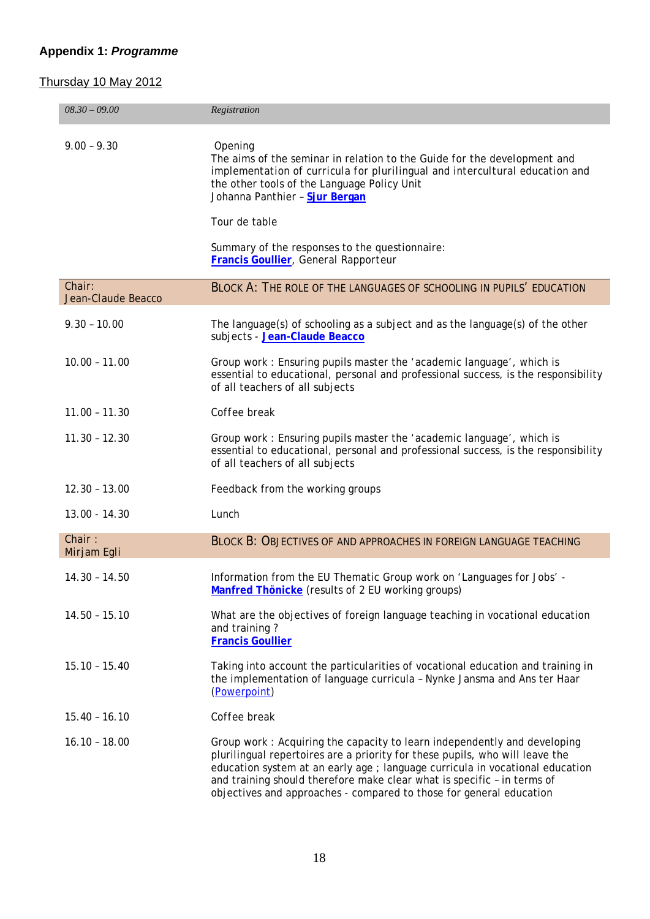# <span id="page-17-0"></span>**Appendix 1:** *Programme*

# Thursday 10 May 2012

| $08.30 - 09.00$       | Registration                                                                                                                                                                                                                                                                                                                                                                                |
|-----------------------|---------------------------------------------------------------------------------------------------------------------------------------------------------------------------------------------------------------------------------------------------------------------------------------------------------------------------------------------------------------------------------------------|
| $9.00 - 9.30$         | Opening<br>The aims of the seminar in relation to the Guide for the development and<br>implementation of curricula for plurilingual and intercultural education and<br>the other tools of the Language Policy Unit<br>Johanna Panthier - Sjur Bergan<br>Tour de table<br>Summary of the responses to the questionnaire:<br>Francis Goullier, General Rapporteur                             |
| Chair:                | BLOCK A: THE ROLE OF THE LANGUAGES OF SCHOOLING IN PUPILS' EDUCATION                                                                                                                                                                                                                                                                                                                        |
| Jean-Claude Beacco    |                                                                                                                                                                                                                                                                                                                                                                                             |
| $9.30 - 10.00$        | The language(s) of schooling as a subject and as the language(s) of the other<br>subjects - Jean-Claude Beacco                                                                                                                                                                                                                                                                              |
| $10.00 - 11.00$       | Group work: Ensuring pupils master the 'academic language', which is<br>essential to educational, personal and professional success, is the responsibility<br>of all teachers of all subjects                                                                                                                                                                                               |
| $11.00 - 11.30$       | Coffee break                                                                                                                                                                                                                                                                                                                                                                                |
| $11.30 - 12.30$       | Group work: Ensuring pupils master the 'academic language', which is<br>essential to educational, personal and professional success, is the responsibility<br>of all teachers of all subjects                                                                                                                                                                                               |
| $12.30 - 13.00$       | Feedback from the working groups                                                                                                                                                                                                                                                                                                                                                            |
| 13.00 - 14.30         | Lunch                                                                                                                                                                                                                                                                                                                                                                                       |
| Chain:<br>Mirjam Egli | <b>BLOCK B: OBJECTIVES OF AND APPROACHES IN FOREIGN LANGUAGE TEACHING</b>                                                                                                                                                                                                                                                                                                                   |
| $14.30 - 14.50$       | Information from the EU Thematic Group work on 'Languages for Jobs' -<br>Manfred Thönicke (results of 2 EU working groups)                                                                                                                                                                                                                                                                  |
| $14.50 - 15.10$       | What are the objectives of foreign language teaching in vocational education<br>and training?<br><b>Francis Goullier</b>                                                                                                                                                                                                                                                                    |
| $15.10 - 15.40$       | Taking into account the particularities of vocational education and training in<br>the implementation of language curricula - Nynke Jansma and Ans ter Haar<br>(Powerpoint)                                                                                                                                                                                                                 |
| $15.40 - 16.10$       | Coffee break                                                                                                                                                                                                                                                                                                                                                                                |
| $16.10 - 18.00$       | Group work: Acquiring the capacity to learn independently and developing<br>plurilingual repertoires are a priority for these pupils, who will leave the<br>education system at an early age ; language curricula in vocational education<br>and training should therefore make clear what is specific - in terms of<br>objectives and approaches - compared to those for general education |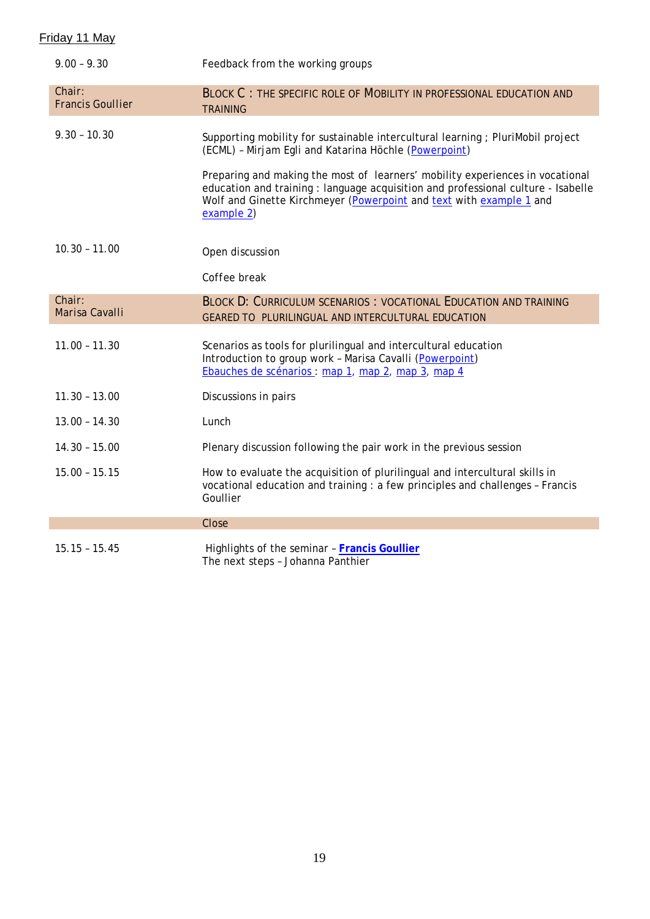| Friday 11 May |  |
|---------------|--|
|               |  |

| $9.00 - 9.30$                     | Feedback from the working groups                                                                                                                                                                                                                                                                                                                                                                   |
|-----------------------------------|----------------------------------------------------------------------------------------------------------------------------------------------------------------------------------------------------------------------------------------------------------------------------------------------------------------------------------------------------------------------------------------------------|
| Chair:<br><b>Francis Goullier</b> | BLOCK C: THE SPECIFIC ROLE OF MOBILITY IN PROFESSIONAL EDUCATION AND<br><b>TRAINING</b>                                                                                                                                                                                                                                                                                                            |
| $9.30 - 10.30$                    | Supporting mobility for sustainable intercultural learning ; PluriMobil project<br>(ECML) - Mirjam Egli and Katarina Höchle (Powerpoint)<br>Preparing and making the most of learners' mobility experiences in vocational<br>education and training: language acquisition and professional culture - Isabelle<br>Wolf and Ginette Kirchmeyer (Powerpoint and text with example 1 and<br>example 2) |
| $10.30 - 11.00$                   | Open discussion                                                                                                                                                                                                                                                                                                                                                                                    |
|                                   | Coffee break                                                                                                                                                                                                                                                                                                                                                                                       |
| Chair:<br>Marisa Cavalli          | <b>BLOCK D: CURRICULUM SCENARIOS : VOCATIONAL EDUCATION AND TRAINING</b><br>GEARED TO PLURILINGUAL AND INTERCULTURAL EDUCATION                                                                                                                                                                                                                                                                     |
| $11.00 - 11.30$                   | Scenarios as tools for plurilingual and intercultural education<br>Introduction to group work - Marisa Cavalli (Powerpoint)<br>Ebauches de scénarios : map 1, map 2, map 3, map 4                                                                                                                                                                                                                  |
| $11.30 - 13.00$                   | Discussions in pairs                                                                                                                                                                                                                                                                                                                                                                               |
| $13.00 - 14.30$                   | Lunch                                                                                                                                                                                                                                                                                                                                                                                              |
| $14.30 - 15.00$                   | Plenary discussion following the pair work in the previous session                                                                                                                                                                                                                                                                                                                                 |
| $15.00 - 15.15$                   | How to evaluate the acquisition of plurilingual and intercultural skills in<br>vocational education and training : a few principles and challenges - Francis<br>Goullier                                                                                                                                                                                                                           |
|                                   | Close                                                                                                                                                                                                                                                                                                                                                                                              |
| $15.15 - 15.45$                   | Highlights of the seminar - Francis Goullier<br>The next steps - Johanna Panthier                                                                                                                                                                                                                                                                                                                  |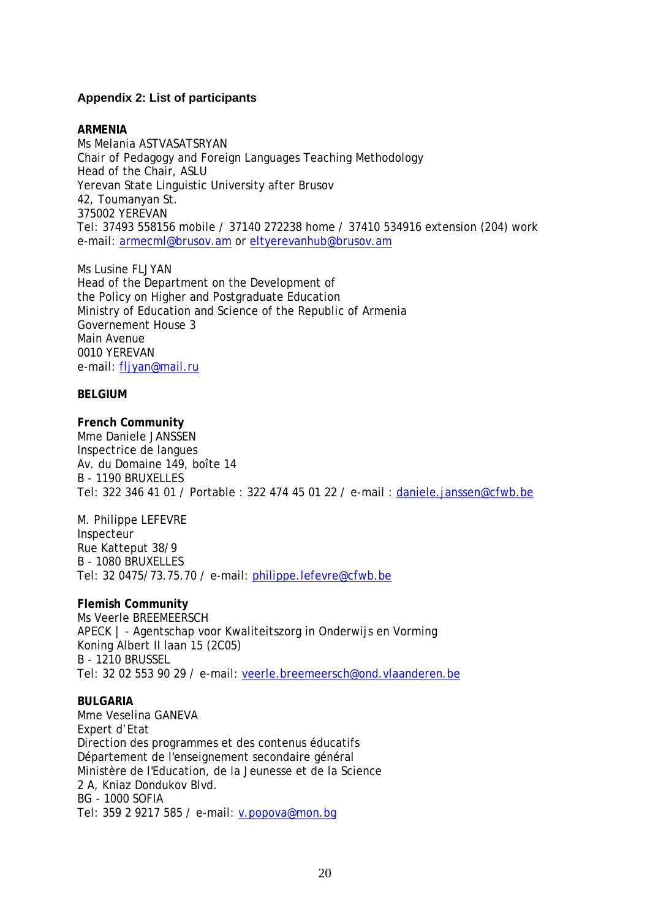# <span id="page-19-0"></span>**Appendix 2: List of participants**

**ARMENIA** Ms Melania ASTVASATSRYAN Chair of Pedagogy and Foreign Languages Teaching Methodology Head of the Chair, ASLU Yerevan State Linguistic University after Brusov 42, Toumanyan St. 375002 YEREVAN Tel: 37493 558156 mobile / 37140 272238 home / 37410 534916 extension (204) work e-mail: [armecml@brusov.am](mailto:armecml@brusov.am) or [eltyerevanhub@brusov.am](mailto:brusov.ameltyerevanhub@brusov.am)

Ms Lusine FLJYAN Head of the Department on the Development of the Policy on Higher and Postgraduate Education Ministry of Education and Science of the Republic of Armenia Governement House 3 Main Avenue 0010 YEREVAN e-mail: [fljyan@mail.ru](mailto:fljyan@mail.ru)

**BELGIUM**

**French Community** Mme Daniele JANSSEN Inspectrice de langues Av. du Domaine 149, boîte 14 B - 1190 BRUXELLES Tel: 322 346 41 01 / Portable : 322 474 45 01 22 / e-mail : [daniele.janssen@cfwb.be](mailto:daniele.janssen@cfwb.be)

M. Philippe LEFEVRE Inspecteur Rue Katteput 38/9 B - 1080 BRUXELLES Tel: 32 0475/73.75.70 / e-mail: [philippe.lefevre@cfwb.be](mailto:philippe.lefevre@cfwb.be)

**Flemish Community** Ms Veerle BREEMEERSCH APECK | - Agentschap voor Kwaliteitszorg in Onderwijs en Vorming Koning Albert II laan 15 (2C05) B - 1210 BRUSSEL Tel: 32 02 553 90 29 / e-mail: [veerle.breemeersch@ond.vlaanderen.be](mailto:veerle.breemeersch@ond.vlaanderen.be)

**BULGARIA** Mme Veselina GANEVA Expert d'Etat Direction des programmes et des contenus éducatifs Département de l'enseignement secondaire général Ministère de l'Education, de la Jeunesse et de la Science 2 A, Kniaz Dondukov Blvd. BG - 1000 SOFIA Tel: 359 2 9217 585 / e-mail: [v.popova@mon.bg](mailto:v.popova@mon.bg)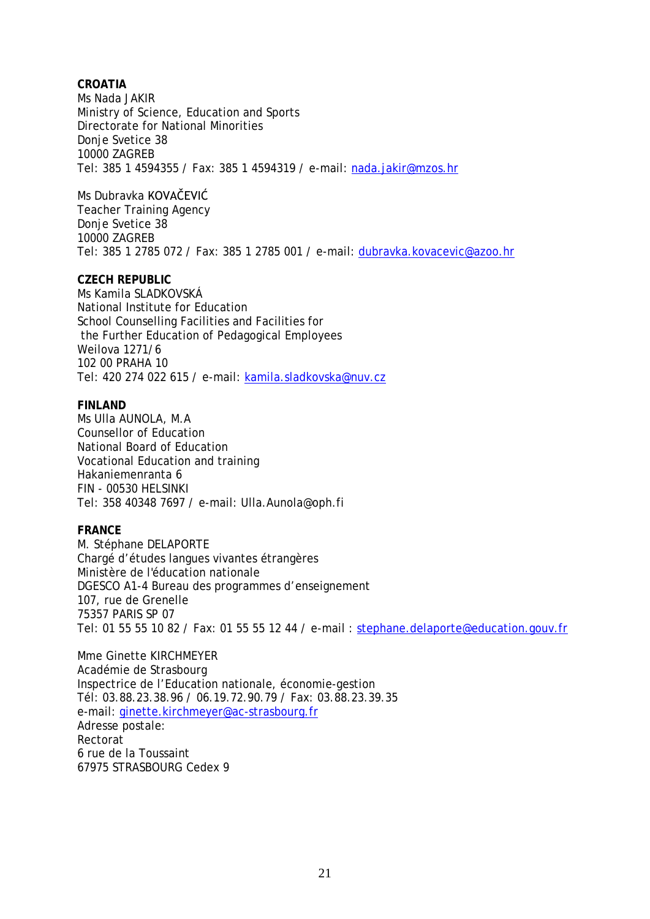**CROATIA**  Ms Nada JAKIR Ministry of Science, Education and Sports Directorate for National Minorities Donje Svetice 38 10000 ZAGREB Tel: 385 1 4594355 / Fax: 385 1 4594319 / e-mail: [nada.jakir@mzos.hr](mailto:nada.jakir@mzos.hr)

Ms Dubravka KOVAČEVIĆ Teacher Training Agency Donje Svetice 38 10000 ZAGREB Tel: 385 1 2785 072 / Fax: 385 1 2785 001 / e-mail: [dubravka.kovacevic@azoo.hr](mailto:dubravka.kovacevic@azoo.hr)

**CZECH REPUBLIC** Ms Kamila SLADKOVSKÁ National Institute for Education School Counselling Facilities and Facilities for the Further Education of Pedagogical Employees Weilova 1271/6 102 00 PRAHA 10 Tel: 420 274 022 615 / e-mail: [kamila.sladkovska@nuv.cz](mailto:kamila.sladkovska@nuv.cz)

**FINLAND** Ms Ulla AUNOLA, M.A Counsellor of Education National Board of Education Vocational Education and training Hakaniemenranta 6 FIN - 00530 HELSINKI Tel: 358 40348 7697 / e-mail: Ulla.Aunola@oph.fi

**FRANCE**

M. Stéphane DELAPORTE Chargé d'études langues vivantes étrangères Ministère de l'éducation nationale DGESCO A1-4 Bureau des programmes d'enseignement 107, rue de Grenelle 75357 PARIS SP 07 Tel: 01 55 55 10 82 / Fax: 01 55 55 12 44 / e-mail : [stephane.delaporte@education.gouv.fr](mailto:stephane.delaporte@education.gouv.fr)

Mme Ginette KIRCHMEYER Académie de Strasbourg Inspectrice de l'Education nationale, économie-gestion Tél: 03.88.23.38.96 / 06.19.72.90.79 / Fax: 03.88.23.39.35 e-mail: [ginette.kirchmeyer@ac-strasbourg.fr](mailto:ginette.kirshmeyer@ac-strasbourg.fr) Adresse postale: Rectorat 6 rue de la Toussaint 67975 STRASBOURG Cedex 9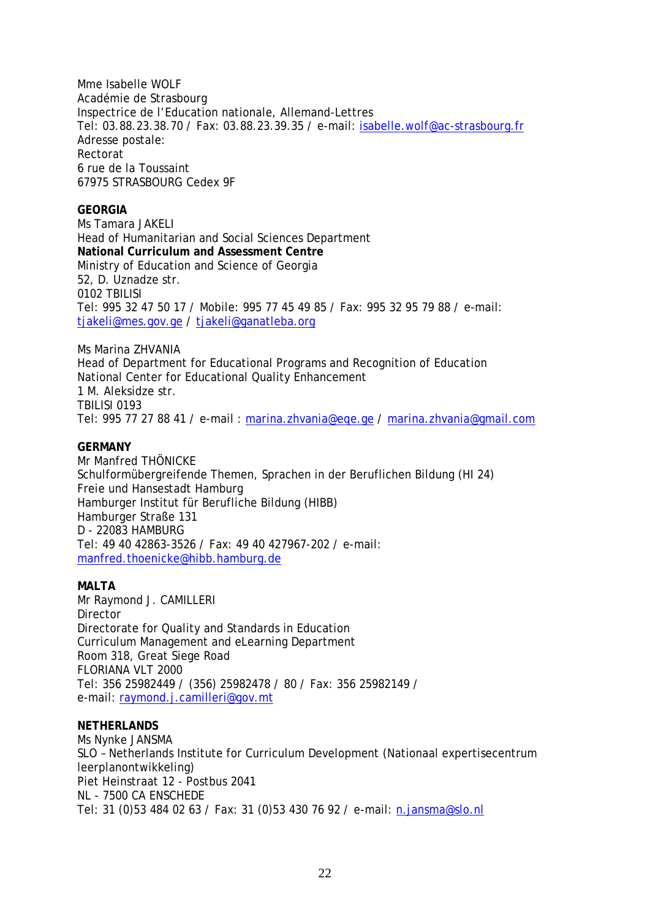Mme Isabelle WOLF Académie de Strasbourg Inspectrice de l'Education nationale, Allemand-Lettres Tel: 03.88.23.38.70 / Fax: 03.88.23.39.35 / e-mail: [isabelle.wolf@ac-strasbourg.fr](mailto:isabelle.wolf@ac-strasbourg.fr) Adresse postale: Rectorat 6 rue de la Toussaint 67975 STRASBOURG Cedex 9F

**GEORGIA** Ms Tamara JAKELI Head of Humanitarian and Social Sciences Department **National Curriculum and Assessment Centre** Ministry of Education and Science of Georgia 52, D. Uznadze str. 0102 TBILISI Tel: 995 32 47 50 17 / Mobile: 995 77 45 49 85 / Fax: 995 32 95 79 88 / e-mail: [tjakeli@mes.gov.ge](mailto:tjakeli@mes.gov.ge) / [tjakeli@ganatleba.org](mailto:tjakeli@ganatleba.org)

Ms Marina ZHVANIA Head of Department for Educational Programs and Recognition of Education National Center for Educational Quality Enhancement 1 M. Aleksidze str. TBILISI 0193 Tel: 995 77 27 88 41 / e-mail : [marina.zhvania@eqe.ge](mailto:marina.zhvania@eqe.ge) / [marina.zhvania@gmail.com](mailto:marina.zhvania@gmail.com)

**GERMANY** Mr Manfred THÖNICKE Schulformübergreifende Themen, Sprachen in der Beruflichen Bildung (HI 24) Freie und Hansestadt Hamburg Hamburger Institut für Berufliche Bildung (HIBB) Hamburger Straße 131 D - 22083 HAMBURG Tel: 49 40 42863-3526 / Fax: 49 40 427967-202 / e-mail: [manfred.thoenicke@hibb.hamburg.de](mailto:manfred.thoenicke@hibb.hamburg.de) 

**MALTA** Mr Raymond J. CAMILLERI Director Directorate for Quality and Standards in Education Curriculum Management and eLearning Department Room 318, Great Siege Road FLORIANA VLT 2000 Tel: 356 25982449 / (356) 25982478 / 80 / Fax: 356 25982149 / e-mail: [raymond.j.camilleri@gov.mt](mailto:raymond.j.camilleri@gov.mt)

**NETHERLANDS** Ms Nynke JANSMA SLO – Netherlands Institute for Curriculum Development (Nationaal expertisecentrum leerplanontwikkeling) Piet Heinstraat 12 - Postbus 2041 NL - 7500 CA ENSCHEDE Tel: 31 (0)53 484 02 63 / Fax: 31 (0)53 430 76 92 / e-mail: [n.jansma@slo.nl](mailto:n.jansma@slo.nl)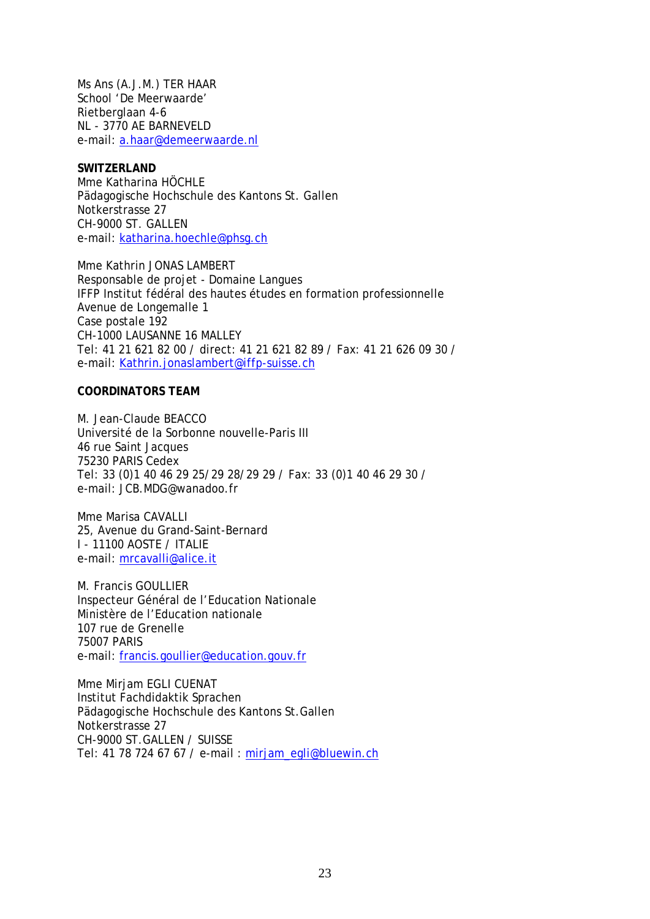Ms Ans (A.J.M.) TER HAAR School 'De Meerwaarde' Rietberglaan 4-6 NL - 3770 AE BARNEVELD e-mail: [a.haar@demeerwaarde.nl](mailto:a.haar@demeerwaarde.nl)

**SWITZERLAND** Mme Katharina HÖCHLE Pädagogische Hochschule des Kantons St. Gallen Notkerstrasse 27 CH-9000 ST. GALLEN e-mail: [katharina.hoechle@phsg.ch](mailto:katharina.hoechle@phsg.ch)

Mme Kathrin JONAS LAMBERT Responsable de projet - Domaine Langues IFFP Institut fédéral des hautes études en formation professionnelle Avenue de Longemalle 1 Case postale 192 CH-1000 LAUSANNE 16 MALLEY Tel: 41 21 621 82 00 / direct: 41 21 621 82 89 / Fax: 41 21 626 09 30 / e-mail: [Kathrin.jonaslambert@iffp-suisse.ch](mailto:Kathrin.jonaslambert@iffp-suisse.ch)

**COORDINATORS TEAM**

M. Jean-Claude BEACCO Université de la Sorbonne nouvelle-Paris III 46 rue Saint Jacques 75230 PARIS Cedex Tel: 33 (0)1 40 46 29 25/29 28/29 29 / Fax: 33 (0)1 40 46 29 30 / e-mail: JCB.MDG@wanadoo.fr

Mme Marisa CAVALLI 25, Avenue du Grand-Saint-Bernard I - 11100 AOSTE / ITALIE e-mail: [mrcavalli@alice.it](mailto:mrcavalli@alice.it)

M. Francis GOULLIER Inspecteur Général de l'Education Nationale Ministère de l'Education nationale 107 rue de Grenelle 75007 PARIS e-mail: [francis.goullier@education.gouv.fr](mailto:francis.goullier@education.gouv.fr)

Mme Mirjam EGLI CUENAT Institut Fachdidaktik Sprachen Pädagogische Hochschule des Kantons St.Gallen Notkerstrasse 27 CH-9000 ST.GALLEN / SUISSE Tel: 41 78 724 67 67 / e-mail : [mirjam\\_egli@bluewin.ch](mailto:mirjam_egli@bluewin.ch)